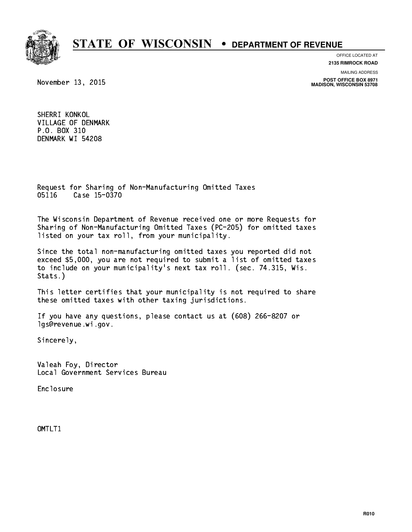

**OFFICE LOCATED AT 2135 RIMROCK ROAD**

**MAILING ADDRESS**

**POST OFFICE BOX 8971 MADISON, WISCONSIN 53708**

November 13, 2015

 SHERRI KONKOL VILLAGE OF DENMARK P.O. BOX 310 DENMARK WI 54208

 Request for Sharing of Non-Manufacturing Omitted Taxes 05116 Case 15-0370 051 Case 15-0370

 The Wisconsin Department of Revenue received one or more Requests for Sharing of Non-Manufacturing Omitted Taxes (PC-205) for omitted taxes listed on your tax roll, from your municipality.

 Since the total non-manufacturing omitted taxes you reported did not exceed \$5,000, you are not required to submit a list of omitted taxes to include on your municipality's next tax roll. (sec. 74.315, Wis. Stats.)

 This letter certifies that your municipality is not required to share these omitted taxes with other taxing jurisdictions.

 If you have any questions, please contact us at (608) 266-8207 or lgs@revenue.wi.gov.

Sincerely,

 Valeah Foy, Director Local Government Services Bureau

Enclosure Enclosure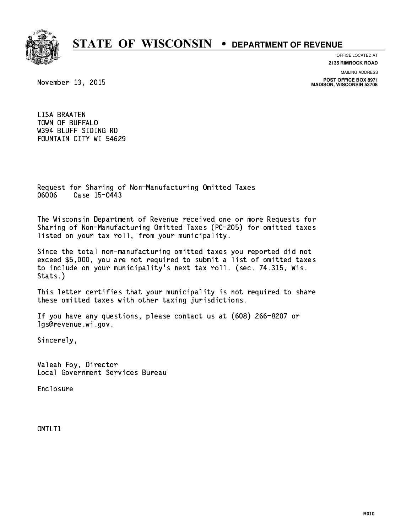

**OFFICE LOCATED AT 2135 RIMROCK ROAD**

November 13, 2015

**MAILING ADDRESS POST OFFICE BOX 8971 MADISON, WISCONSIN 53708**

 LISA BRAATEN TOWN OF BUFFALO W394 BLUFF SIDING RD FOUNTAIN CITY WI 54629

 Request for Sharing of Non-Manufacturing Omitted Taxes 06006 Case 15-0443 060 Case 15-04-05-06

 The Wisconsin Department of Revenue received one or more Requests for Sharing of Non-Manufacturing Omitted Taxes (PC-205) for omitted taxes listed on your tax roll, from your municipality.

 Since the total non-manufacturing omitted taxes you reported did not exceed \$5,000, you are not required to submit a list of omitted taxes to include on your municipality's next tax roll. (sec. 74.315, Wis. Stats.)

 This letter certifies that your municipality is not required to share these omitted taxes with other taxing jurisdictions.

 If you have any questions, please contact us at (608) 266-8207 or lgs@revenue.wi.gov.

Sincerely,

 Valeah Foy, Director Local Government Services Bureau

Enclosure Enclosure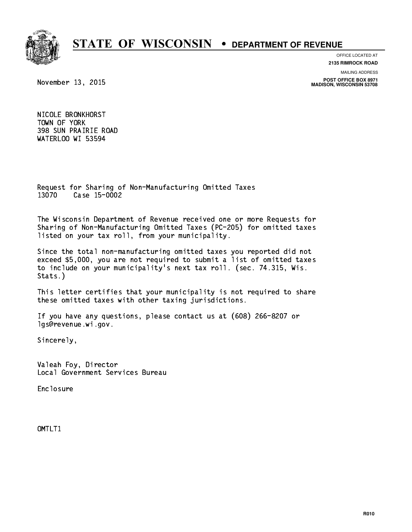

**OFFICE LOCATED AT 2135 RIMROCK ROAD**

**MAILING ADDRESS**

**POST OFFICE BOX 8971 MADISON, WISCONSIN 53708**

November 13, 2015

 NICOLE BRONKHORST TOWN OF YORK 398 SUN PRAIRIE ROAD WATERLOO WI 53594

 Request for Sharing of Non-Manufacturing Omitted Taxes 13070 Case 15-0002 13070 Case 15-0002

 The Wisconsin Department of Revenue received one or more Requests for Sharing of Non-Manufacturing Omitted Taxes (PC-205) for omitted taxes listed on your tax roll, from your municipality.

 Since the total non-manufacturing omitted taxes you reported did not exceed \$5,000, you are not required to submit a list of omitted taxes to include on your municipality's next tax roll. (sec. 74.315, Wis. Stats.)

 This letter certifies that your municipality is not required to share these omitted taxes with other taxing jurisdictions.

 If you have any questions, please contact us at (608) 266-8207 or lgs@revenue.wi.gov.

Sincerely,

 Valeah Foy, Director Local Government Services Bureau

Enclosure Enclosure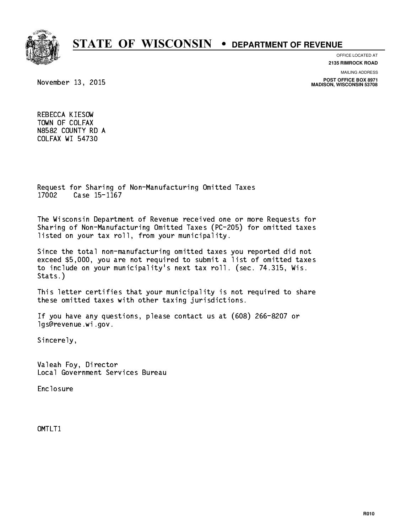

**OFFICE LOCATED AT**

**2135 RIMROCK ROAD**

**MAILING ADDRESS**

**POST OFFICE BOX 8971 MADISON, WISCONSIN 53708**

November 13, 2015

 REBECCA KIESOW TOWN OF COLFAX N8582 COUNTY RD A COLFAX WI 54730

 Request for Sharing of Non-Manufacturing Omitted Taxes 17002 Case 15-1167 1700 Case 15-1167 Case 15-1167 Case 15-1167 Case 15-1167 Case 15-1167 Case 15-1167 Case 15-1167 Case 15-1167 C

 The Wisconsin Department of Revenue received one or more Requests for Sharing of Non-Manufacturing Omitted Taxes (PC-205) for omitted taxes listed on your tax roll, from your municipality.

 Since the total non-manufacturing omitted taxes you reported did not exceed \$5,000, you are not required to submit a list of omitted taxes to include on your municipality's next tax roll. (sec. 74.315, Wis. Stats.)

 This letter certifies that your municipality is not required to share these omitted taxes with other taxing jurisdictions.

 If you have any questions, please contact us at (608) 266-8207 or lgs@revenue.wi.gov.

Sincerely,

 Valeah Foy, Director Local Government Services Bureau

Enclosure Enclosure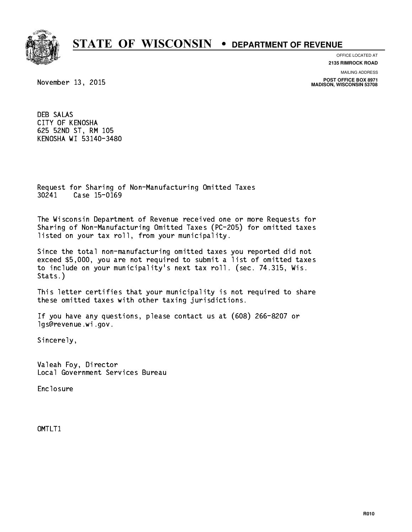

**OFFICE LOCATED AT**

**2135 RIMROCK ROAD**

**MAILING ADDRESS**

**POST OFFICE BOX 8971 MADISON, WISCONSIN 53708**

November 13, 2015

 DEB SALAS CITY OF KENOSHA 625 52ND ST, RM 105 KENOSHA WI 53140-3480

 Request for Sharing of Non-Manufacturing Omitted Taxes 30241 Case 15-0169

 The Wisconsin Department of Revenue received one or more Requests for Sharing of Non-Manufacturing Omitted Taxes (PC-205) for omitted taxes listed on your tax roll, from your municipality.

 Since the total non-manufacturing omitted taxes you reported did not exceed \$5,000, you are not required to submit a list of omitted taxes to include on your municipality's next tax roll. (sec. 74.315, Wis. Stats.)

 This letter certifies that your municipality is not required to share these omitted taxes with other taxing jurisdictions.

 If you have any questions, please contact us at (608) 266-8207 or lgs@revenue.wi.gov.

Sincerely,

 Valeah Foy, Director Local Government Services Bureau

Enclosure Enclosure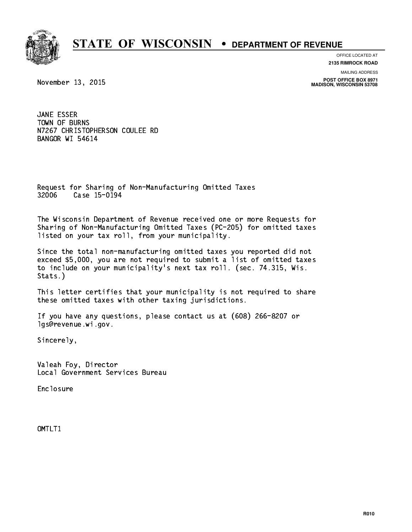

**OFFICE LOCATED AT 2135 RIMROCK ROAD**

**MAILING ADDRESS**

**POST OFFICE BOX 8971 MADISON, WISCONSIN 53708**

November 13, 2015

 JANE ESSER TOWN OF BURNS N7267 CHRISTOPHERSON COULEE RD BANGOR WI 54614

 Request for Sharing of Non-Manufacturing Omitted Taxes 32006 Case 15-0194 32006 Case 15-0194

 The Wisconsin Department of Revenue received one or more Requests for Sharing of Non-Manufacturing Omitted Taxes (PC-205) for omitted taxes listed on your tax roll, from your municipality.

 Since the total non-manufacturing omitted taxes you reported did not exceed \$5,000, you are not required to submit a list of omitted taxes to include on your municipality's next tax roll. (sec. 74.315, Wis. Stats.)

 This letter certifies that your municipality is not required to share these omitted taxes with other taxing jurisdictions.

 If you have any questions, please contact us at (608) 266-8207 or lgs@revenue.wi.gov.

Sincerely,

 Valeah Foy, Director Local Government Services Bureau

Enclosure Enclosure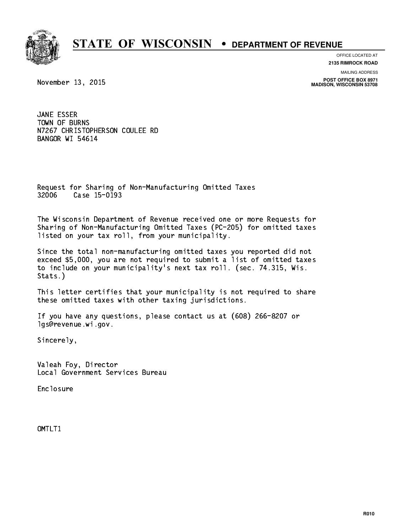

**OFFICE LOCATED AT 2135 RIMROCK ROAD**

**MAILING ADDRESS**

**POST OFFICE BOX 8971 MADISON, WISCONSIN 53708**

November 13, 2015

 JANE ESSER TOWN OF BURNS N7267 CHRISTOPHERSON COULEE RD BANGOR WI 54614

 Request for Sharing of Non-Manufacturing Omitted Taxes 32006 Case 15-0193 32006 Case 15-0193

 The Wisconsin Department of Revenue received one or more Requests for Sharing of Non-Manufacturing Omitted Taxes (PC-205) for omitted taxes listed on your tax roll, from your municipality.

 Since the total non-manufacturing omitted taxes you reported did not exceed \$5,000, you are not required to submit a list of omitted taxes to include on your municipality's next tax roll. (sec. 74.315, Wis. Stats.)

 This letter certifies that your municipality is not required to share these omitted taxes with other taxing jurisdictions.

 If you have any questions, please contact us at (608) 266-8207 or lgs@revenue.wi.gov.

Sincerely,

 Valeah Foy, Director Local Government Services Bureau

Enclosure Enclosure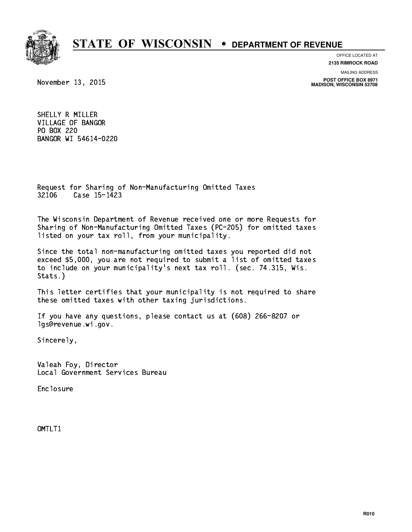

**OFFICE LOCATED AT**

**2135 RIMROCK ROAD**

November 13, 2015

**MAILING ADDRESS**

**POST OFFICE BOX 8971 MADISON, WISCONSIN 53708**

 SHELLY R MILLER VILLAGE OF BANGOR PO BOX 220 BANGOR WI 54614-0220

 Request for Sharing of Non-Manufacturing Omitted Taxes 32106 Case 15-1423 3223 Case 15-1423

 The Wisconsin Department of Revenue received one or more Requests for Sharing of Non-Manufacturing Omitted Taxes (PC-205) for omitted taxes listed on your tax roll, from your municipality.

 Since the total non-manufacturing omitted taxes you reported did not exceed \$5,000, you are not required to submit a list of omitted taxes to include on your municipality's next tax roll. (sec. 74.315, Wis. Stats.)

 This letter certifies that your municipality is not required to share these omitted taxes with other taxing jurisdictions.

 If you have any questions, please contact us at (608) 266-8207 or lgs@revenue.wi.gov.

Sincerely,

 Valeah Foy, Director Local Government Services Bureau

Enclosure Enclosure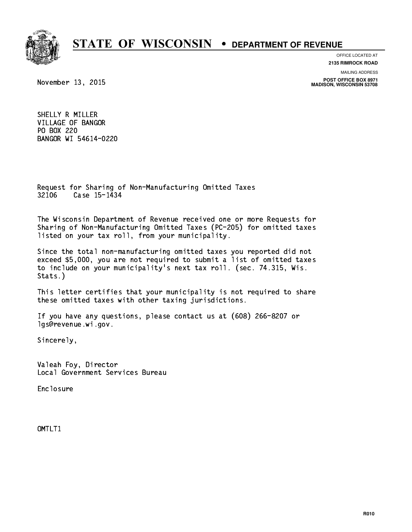

**OFFICE LOCATED AT**

**2135 RIMROCK ROAD**

November 13, 2015

**MAILING ADDRESS**

**POST OFFICE BOX 8971 MADISON, WISCONSIN 53708**

 SHELLY R MILLER VILLAGE OF BANGOR PO BOX 220 BANGOR WI 54614-0220

 Request for Sharing of Non-Manufacturing Omitted Taxes 32106 Case 15-1434 32234 Case 15-1434 15-1434 15-1434 15-1434 15-1434 15-1434 15-1434 15-1434 15-1434 15-1434 15-1434 15-1434 15

 The Wisconsin Department of Revenue received one or more Requests for Sharing of Non-Manufacturing Omitted Taxes (PC-205) for omitted taxes listed on your tax roll, from your municipality.

 Since the total non-manufacturing omitted taxes you reported did not exceed \$5,000, you are not required to submit a list of omitted taxes to include on your municipality's next tax roll. (sec. 74.315, Wis. Stats.)

 This letter certifies that your municipality is not required to share these omitted taxes with other taxing jurisdictions.

 If you have any questions, please contact us at (608) 266-8207 or lgs@revenue.wi.gov.

Sincerely,

 Valeah Foy, Director Local Government Services Bureau

Enclosure Enclosure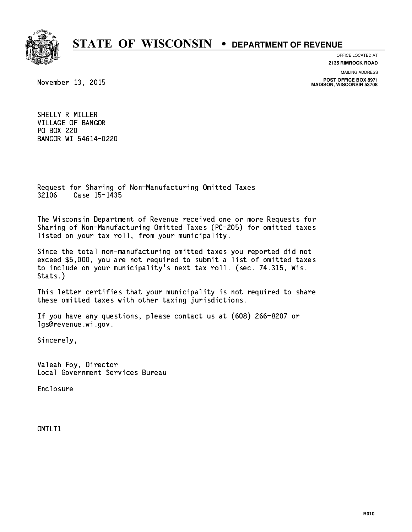

**OFFICE LOCATED AT**

**2135 RIMROCK ROAD**

November 13, 2015

**MAILING ADDRESS**

**POST OFFICE BOX 8971 MADISON, WISCONSIN 53708**

 SHELLY R MILLER VILLAGE OF BANGOR PO BOX 220 BANGOR WI 54614-0220

 Request for Sharing of Non-Manufacturing Omitted Taxes 32106 Case 15-1435 32236 Case 15-1435

 The Wisconsin Department of Revenue received one or more Requests for Sharing of Non-Manufacturing Omitted Taxes (PC-205) for omitted taxes listed on your tax roll, from your municipality.

 Since the total non-manufacturing omitted taxes you reported did not exceed \$5,000, you are not required to submit a list of omitted taxes to include on your municipality's next tax roll. (sec. 74.315, Wis. Stats.)

 This letter certifies that your municipality is not required to share these omitted taxes with other taxing jurisdictions.

 If you have any questions, please contact us at (608) 266-8207 or lgs@revenue.wi.gov.

Sincerely,

 Valeah Foy, Director Local Government Services Bureau

Enclosure Enclosure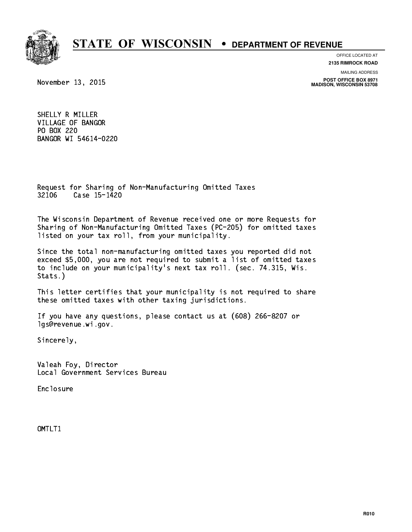

**OFFICE LOCATED AT**

**2135 RIMROCK ROAD**

November 13, 2015

**MAILING ADDRESS**

**POST OFFICE BOX 8971 MADISON, WISCONSIN 53708**

 SHELLY R MILLER VILLAGE OF BANGOR PO BOX 220 BANGOR WI 54614-0220

 Request for Sharing of Non-Manufacturing Omitted Taxes 32106 Case 15-1420 3223 Case 15-1420

 The Wisconsin Department of Revenue received one or more Requests for Sharing of Non-Manufacturing Omitted Taxes (PC-205) for omitted taxes listed on your tax roll, from your municipality.

 Since the total non-manufacturing omitted taxes you reported did not exceed \$5,000, you are not required to submit a list of omitted taxes to include on your municipality's next tax roll. (sec. 74.315, Wis. Stats.)

 This letter certifies that your municipality is not required to share these omitted taxes with other taxing jurisdictions.

 If you have any questions, please contact us at (608) 266-8207 or lgs@revenue.wi.gov.

Sincerely,

 Valeah Foy, Director Local Government Services Bureau

Enclosure Enclosure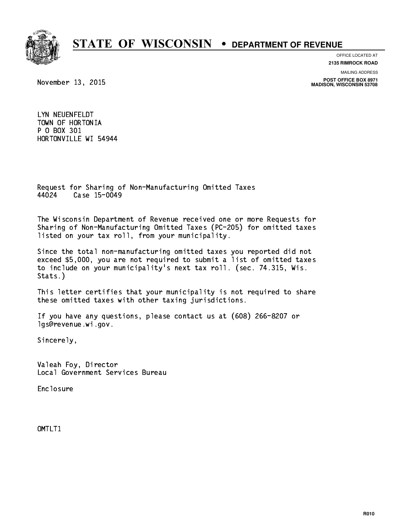

**OFFICE LOCATED AT**

**2135 RIMROCK ROAD**

November 13, 2015

**MAILING ADDRESS**

**POST OFFICE BOX 8971 MADISON, WISCONSIN 53708**

 LYN NEUENFELDT TOWN OF HORTONIA P O BOX 301 HORTONVILLE WI 54944

 Request for Sharing of Non-Manufacturing Omitted Taxes 44024 Case 15-0049 4402 Case 15-004

 The Wisconsin Department of Revenue received one or more Requests for Sharing of Non-Manufacturing Omitted Taxes (PC-205) for omitted taxes listed on your tax roll, from your municipality.

 Since the total non-manufacturing omitted taxes you reported did not exceed \$5,000, you are not required to submit a list of omitted taxes to include on your municipality's next tax roll. (sec. 74.315, Wis. Stats.)

 This letter certifies that your municipality is not required to share these omitted taxes with other taxing jurisdictions.

 If you have any questions, please contact us at (608) 266-8207 or lgs@revenue.wi.gov.

Sincerely,

 Valeah Foy, Director Local Government Services Bureau

Enclosure Enclosure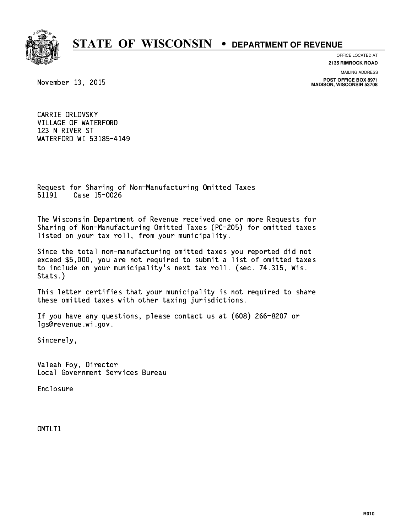

**OFFICE LOCATED AT 2135 RIMROCK ROAD**

**MAILING ADDRESS**

**POST OFFICE BOX 8971 MADISON, WISCONSIN 53708**

November 13, 2015

 CARRIE ORLOVSKY VILLAGE OF WATERFORD 123 N RIVER ST WATERFORD WI 53185-4149

 Request for Sharing of Non-Manufacturing Omitted Taxes 51191 Case 15-0026 51191 Case 15-0026

 The Wisconsin Department of Revenue received one or more Requests for Sharing of Non-Manufacturing Omitted Taxes (PC-205) for omitted taxes listed on your tax roll, from your municipality.

 Since the total non-manufacturing omitted taxes you reported did not exceed \$5,000, you are not required to submit a list of omitted taxes to include on your municipality's next tax roll. (sec. 74.315, Wis. Stats.)

 This letter certifies that your municipality is not required to share these omitted taxes with other taxing jurisdictions.

 If you have any questions, please contact us at (608) 266-8207 or lgs@revenue.wi.gov.

Sincerely,

 Valeah Foy, Director Local Government Services Bureau

Enclosure Enclosure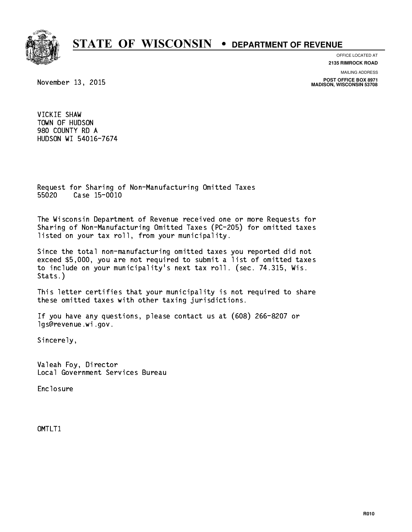

**OFFICE LOCATED AT**

**2135 RIMROCK ROAD**

**MAILING ADDRESS**

**POST OFFICE BOX 8971 MADISON, WISCONSIN 53708**

November 13, 2015

 VICKIE SHAW TOWN OF HUDSON 980 COUNTY RD A HUDSON WI 54016-7674

 Request for Sharing of Non-Manufacturing Omitted Taxes 55020 Case 15-0010

 The Wisconsin Department of Revenue received one or more Requests for Sharing of Non-Manufacturing Omitted Taxes (PC-205) for omitted taxes listed on your tax roll, from your municipality.

 Since the total non-manufacturing omitted taxes you reported did not exceed \$5,000, you are not required to submit a list of omitted taxes to include on your municipality's next tax roll. (sec. 74.315, Wis. Stats.)

 This letter certifies that your municipality is not required to share these omitted taxes with other taxing jurisdictions.

 If you have any questions, please contact us at (608) 266-8207 or lgs@revenue.wi.gov.

Sincerely,

 Valeah Foy, Director Local Government Services Bureau

Enclosure Enclosure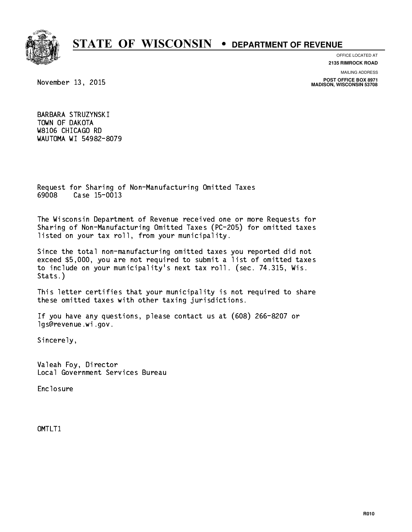

### **OFFICE LOCATED AT**

**2135 RIMROCK ROAD**

**MAILING ADDRESS**

**POST OFFICE BOX 8971 MADISON, WISCONSIN 53708**

November 13, 2015

 BARBARA STRUZYNSKI TOWN OF DAKOTA W8106 CHICAGO RD WAUTOMA WI 54982-8079

 Request for Sharing of Non-Manufacturing Omitted Taxes 69008 Case 15-0013 69008 Case 15-0013

 The Wisconsin Department of Revenue received one or more Requests for Sharing of Non-Manufacturing Omitted Taxes (PC-205) for omitted taxes listed on your tax roll, from your municipality.

 Since the total non-manufacturing omitted taxes you reported did not exceed \$5,000, you are not required to submit a list of omitted taxes to include on your municipality's next tax roll. (sec. 74.315, Wis. Stats.)

 This letter certifies that your municipality is not required to share these omitted taxes with other taxing jurisdictions.

 If you have any questions, please contact us at (608) 266-8207 or lgs@revenue.wi.gov.

Sincerely,

 Valeah Foy, Director Local Government Services Bureau

Enclosure Enclosure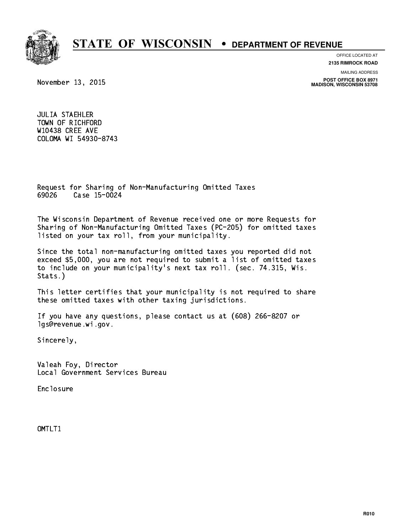

**OFFICE LOCATED AT**

**2135 RIMROCK ROAD**

November 13, 2015

**MAILING ADDRESS**

**POST OFFICE BOX 8971 MADISON, WISCONSIN 53708**

 JULIA STAEHLER TOWN OF RICHFORD W10438 CREE AVE COLOMA WI 54930-8743

 Request for Sharing of Non-Manufacturing Omitted Taxes 69026 Case 15-0024 69026 Case 15-0024

 The Wisconsin Department of Revenue received one or more Requests for Sharing of Non-Manufacturing Omitted Taxes (PC-205) for omitted taxes listed on your tax roll, from your municipality.

 Since the total non-manufacturing omitted taxes you reported did not exceed \$5,000, you are not required to submit a list of omitted taxes to include on your municipality's next tax roll. (sec. 74.315, Wis. Stats.)

 This letter certifies that your municipality is not required to share these omitted taxes with other taxing jurisdictions.

 If you have any questions, please contact us at (608) 266-8207 or lgs@revenue.wi.gov.

Sincerely,

 Valeah Foy, Director Local Government Services Bureau

Enclosure Enclosure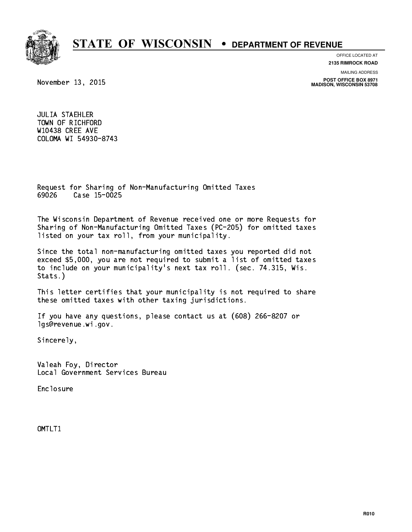

**OFFICE LOCATED AT**

**2135 RIMROCK ROAD**

November 13, 2015

**MAILING ADDRESS**

**POST OFFICE BOX 8971 MADISON, WISCONSIN 53708**

 JULIA STAEHLER TOWN OF RICHFORD W10438 CREE AVE COLOMA WI 54930-8743

 Request for Sharing of Non-Manufacturing Omitted Taxes 69026 Case 15-0025 69026 Case 15-0025

 The Wisconsin Department of Revenue received one or more Requests for Sharing of Non-Manufacturing Omitted Taxes (PC-205) for omitted taxes listed on your tax roll, from your municipality.

 Since the total non-manufacturing omitted taxes you reported did not exceed \$5,000, you are not required to submit a list of omitted taxes to include on your municipality's next tax roll. (sec. 74.315, Wis. Stats.)

 This letter certifies that your municipality is not required to share these omitted taxes with other taxing jurisdictions.

 If you have any questions, please contact us at (608) 266-8207 or lgs@revenue.wi.gov.

Sincerely,

 Valeah Foy, Director Local Government Services Bureau

Enclosure Enclosure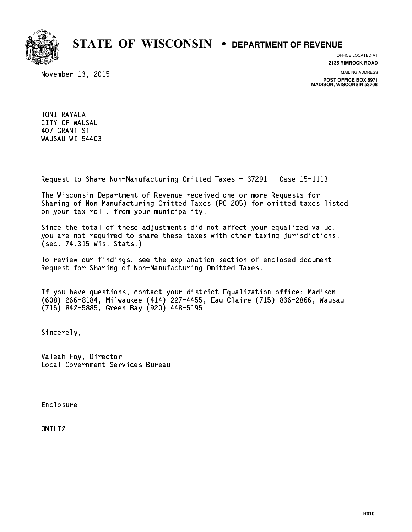

November 13, 2015

**OFFICE LOCATED AT 2135 RIMROCK ROAD**

**MAILING ADDRESS**

**POST OFFICE BOX 8971 MADISON, WISCONSIN 53708**

 TONI RAYALA CITY OF WAUSAU 407 GRANT ST WAUSAU WI 54403

Request to Share Non-Manufacturing Omitted Taxes - 37291 Case 15-1113

 The Wisconsin Department of Revenue received one or more Requests for Sharing of Non-Manufacturing Omitted Taxes (PC-205) for omitted taxes listed on your tax roll, from your municipality.

 Since the total of these adjustments did not affect your equalized value, you are not required to share these taxes with other taxing jurisdictions. (sec. 74.315 Wis. Stats.)

 To review our findings, see the explanation section of enclosed document Request for Sharing of Non-Manufacturing Omitted Taxes.

 If you have questions, contact your district Equalization office: Madison (608) 266-8184, Milwaukee (414) 227-4455, Eau Claire (715) 836-2866, Wausau (715) 842-5885, Green Bay (920) 448-5195.

Sincerely,

 Valeah Foy, Director Local Government Services Bureau

Enclosure Enclosure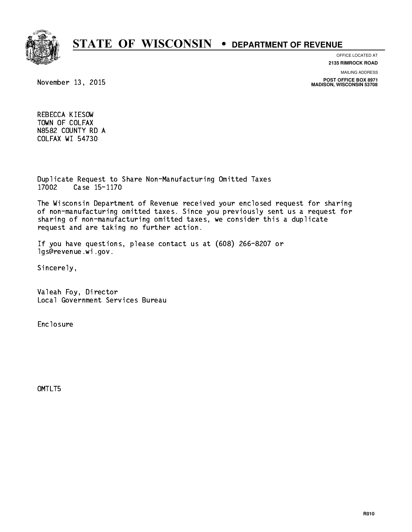

**OFFICE LOCATED AT 2135 RIMROCK ROAD**

**MAILING ADDRESS**

November 13, 2015

**POST OFFICE BOX 8971 MADISON, WISCONSIN 53708**

 REBECCA KIESOW TOWN OF COLFAX N8582 COUNTY RD A COLFAX WI 54730

 Duplicate Request to Share Non-Manufacturing Omitted Taxes 17002 Case 15-1170

 The Wisconsin Department of Revenue received your enclosed request for sharing of non-manufacturing omitted taxes. Since you previously sent us a request for sharing of non-manufacturing omitted taxes, we consider this a duplicate request and are taking no further action.

 If you have questions, please contact us at (608) 266-8207 or lgs@revenue.wi.gov.

Sincerely,

 Valeah Foy, Director Local Government Services Bureau

Enclosure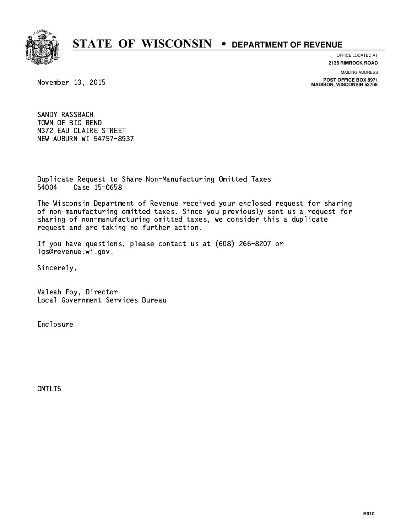# **STATE OF WISCONSIN • DEPARTMENT OF REVENUE**

**OFFICE LOCATED AT**

**2135 RIMROCK ROAD**

**MAILING ADDRESS**

**POST OFFICE BOX 8971 MADISON, WISCONSIN 53708**

November 13, 2015

 SANDY RASSBACH TOWN OF BIG BEND N372 EAU CLAIRE STREET NEW AUBURN WI 54757-8937

 Duplicate Request to Share Non-Manufacturing Omitted Taxes 54004 Case 15-0658

 The Wisconsin Department of Revenue received your enclosed request for sharing of non-manufacturing omitted taxes. Since you previously sent us a request for sharing of non-manufacturing omitted taxes, we consider this a duplicate request and are taking no further action.

 If you have questions, please contact us at (608) 266-8207 or lgs@revenue.wi.gov.

Sincerely,

 Valeah Foy, Director Local Government Services Bureau

Enclosure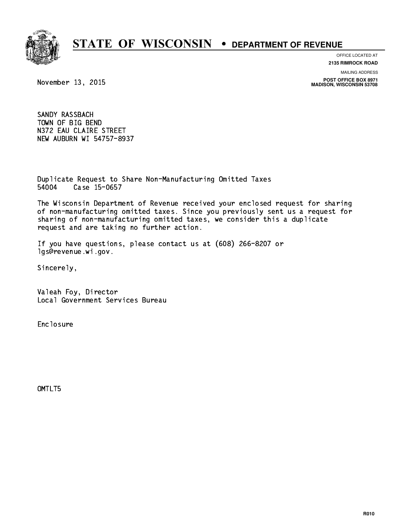# **STATE OF WISCONSIN • DEPARTMENT OF REVENUE**

**OFFICE LOCATED AT**

**2135 RIMROCK ROAD**

**MAILING ADDRESS**

**POST OFFICE BOX 8971 MADISON, WISCONSIN 53708**

November 13, 2015

 SANDY RASSBACH TOWN OF BIG BEND N372 EAU CLAIRE STREET NEW AUBURN WI 54757-8937

 Duplicate Request to Share Non-Manufacturing Omitted Taxes 54004 Case 15-0657

 The Wisconsin Department of Revenue received your enclosed request for sharing of non-manufacturing omitted taxes. Since you previously sent us a request for sharing of non-manufacturing omitted taxes, we consider this a duplicate request and are taking no further action.

 If you have questions, please contact us at (608) 266-8207 or lgs@revenue.wi.gov.

Sincerely,

 Valeah Foy, Director Local Government Services Bureau

Enclosure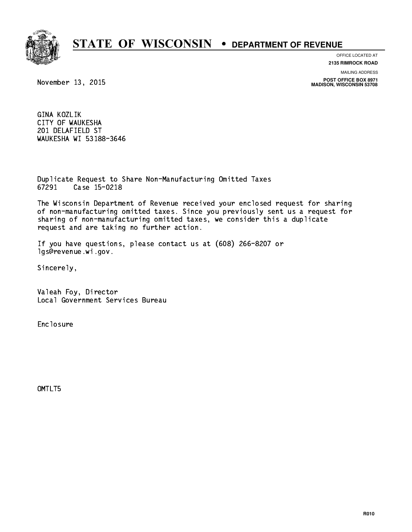# **STATE OF WISCONSIN • DEPARTMENT OF REVENUE**

**OFFICE LOCATED AT**

**2135 RIMROCK ROAD**

**MAILING ADDRESS**

**POST OFFICE BOX 8971 MADISON, WISCONSIN 53708**

November 13, 2015

 GINA KOZLIK CITY OF WAUKESHA 201 DELAFIELD ST WAUKESHA WI 53188-3646

 Duplicate Request to Share Non-Manufacturing Omitted Taxes 67291 Case 15-0218

 The Wisconsin Department of Revenue received your enclosed request for sharing of non-manufacturing omitted taxes. Since you previously sent us a request for sharing of non-manufacturing omitted taxes, we consider this a duplicate request and are taking no further action.

 If you have questions, please contact us at (608) 266-8207 or lgs@revenue.wi.gov.

Sincerely,

 Valeah Foy, Director Local Government Services Bureau

Enclosure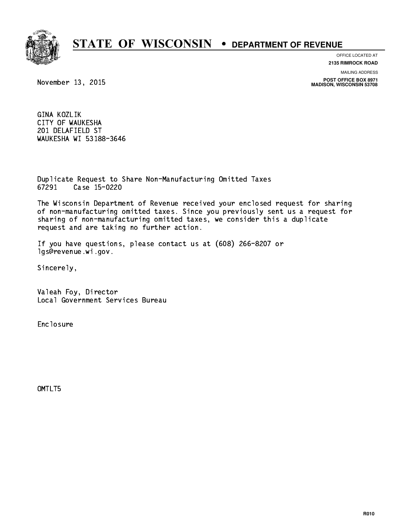# **STATE OF WISCONSIN • DEPARTMENT OF REVENUE**

**OFFICE LOCATED AT**

**2135 RIMROCK ROAD**

**MAILING ADDRESS**

**POST OFFICE BOX 8971 MADISON, WISCONSIN 53708**

November 13, 2015

 GINA KOZLIK CITY OF WAUKESHA 201 DELAFIELD ST WAUKESHA WI 53188-3646

 Duplicate Request to Share Non-Manufacturing Omitted Taxes 67291 Case 15-0220

 The Wisconsin Department of Revenue received your enclosed request for sharing of non-manufacturing omitted taxes. Since you previously sent us a request for sharing of non-manufacturing omitted taxes, we consider this a duplicate request and are taking no further action.

 If you have questions, please contact us at (608) 266-8207 or lgs@revenue.wi.gov.

Sincerely,

 Valeah Foy, Director Local Government Services Bureau

Enclosure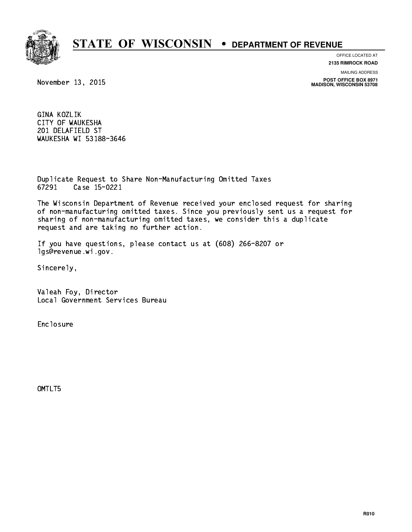# **STATE OF WISCONSIN • DEPARTMENT OF REVENUE**

**OFFICE LOCATED AT**

**2135 RIMROCK ROAD**

**MAILING ADDRESS**

**POST OFFICE BOX 8971 MADISON, WISCONSIN 53708**

November 13, 2015

 GINA KOZLIK CITY OF WAUKESHA 201 DELAFIELD ST WAUKESHA WI 53188-3646

 Duplicate Request to Share Non-Manufacturing Omitted Taxes 67291 Case 15-0221

 The Wisconsin Department of Revenue received your enclosed request for sharing of non-manufacturing omitted taxes. Since you previously sent us a request for sharing of non-manufacturing omitted taxes, we consider this a duplicate request and are taking no further action.

 If you have questions, please contact us at (608) 266-8207 or lgs@revenue.wi.gov.

Sincerely,

 Valeah Foy, Director Local Government Services Bureau

Enclosure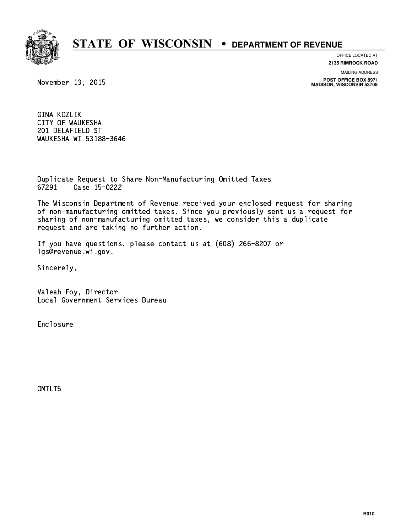# **STATE OF WISCONSIN • DEPARTMENT OF REVENUE**

**OFFICE LOCATED AT**

**2135 RIMROCK ROAD**

**MAILING ADDRESS**

**POST OFFICE BOX 8971 MADISON, WISCONSIN 53708**

November 13, 2015

 GINA KOZLIK CITY OF WAUKESHA 201 DELAFIELD ST WAUKESHA WI 53188-3646

 Duplicate Request to Share Non-Manufacturing Omitted Taxes 67291 Case 15-0222

 The Wisconsin Department of Revenue received your enclosed request for sharing of non-manufacturing omitted taxes. Since you previously sent us a request for sharing of non-manufacturing omitted taxes, we consider this a duplicate request and are taking no further action.

 If you have questions, please contact us at (608) 266-8207 or lgs@revenue.wi.gov.

Sincerely,

 Valeah Foy, Director Local Government Services Bureau

Enclosure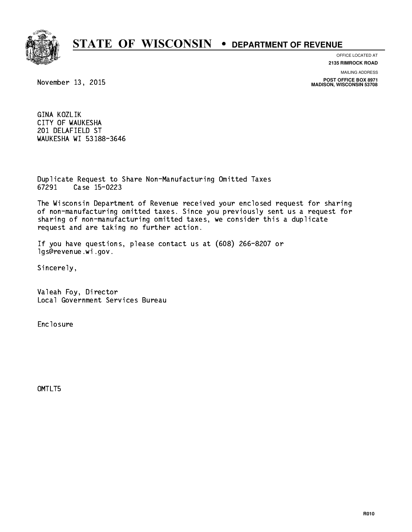# **STATE OF WISCONSIN • DEPARTMENT OF REVENUE**

**OFFICE LOCATED AT**

**2135 RIMROCK ROAD**

**MAILING ADDRESS**

**POST OFFICE BOX 8971 MADISON, WISCONSIN 53708**

November 13, 2015

 GINA KOZLIK CITY OF WAUKESHA 201 DELAFIELD ST WAUKESHA WI 53188-3646

 Duplicate Request to Share Non-Manufacturing Omitted Taxes 67291 Case 15-0223

 The Wisconsin Department of Revenue received your enclosed request for sharing of non-manufacturing omitted taxes. Since you previously sent us a request for sharing of non-manufacturing omitted taxes, we consider this a duplicate request and are taking no further action.

 If you have questions, please contact us at (608) 266-8207 or lgs@revenue.wi.gov.

Sincerely,

 Valeah Foy, Director Local Government Services Bureau

Enclosure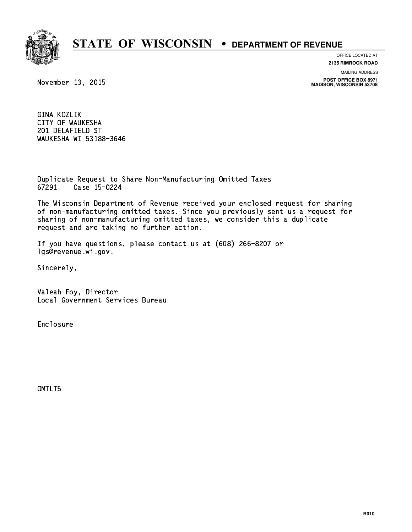# **STATE OF WISCONSIN • DEPARTMENT OF REVENUE**

**OFFICE LOCATED AT**

**2135 RIMROCK ROAD**

**MAILING ADDRESS**

**POST OFFICE BOX 8971 MADISON, WISCONSIN 53708**

November 13, 2015

 GINA KOZLIK CITY OF WAUKESHA 201 DELAFIELD ST WAUKESHA WI 53188-3646

 Duplicate Request to Share Non-Manufacturing Omitted Taxes 67291 Case 15-0224

 The Wisconsin Department of Revenue received your enclosed request for sharing of non-manufacturing omitted taxes. Since you previously sent us a request for sharing of non-manufacturing omitted taxes, we consider this a duplicate request and are taking no further action.

 If you have questions, please contact us at (608) 266-8207 or lgs@revenue.wi.gov.

Sincerely,

 Valeah Foy, Director Local Government Services Bureau

Enclosure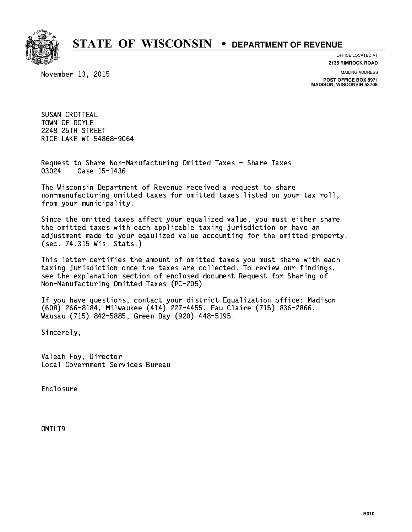

**OFFICE LOCATED AT**

November 13, 2015

**2135 RIMROCK ROAD**

**MAILING ADDRESS**

**POST OFFICE BOX 8971 MADISON, WISCONSIN 53708**

 SUSAN CROTTEAL TOWN OF DOYLE 2248 25TH STREET RICE LAKE WI 54868-9064

 Request to Share Non-Manufacturing Omitted Taxes - Share Taxes Case 15-1436 03024

 The Wisconsin Department of Revenue received a request to share non-manufacturing omitted taxes for omitted taxes listed on your tax roll, from your municipality.

 Since the omitted taxes affect your equalized value, you must either share the omitted taxes with each applicable taxing jurisdiction or have an adjustment made to your eqaulized value accounting for the omitted property. (sec. 74.315 Wis. Stats.)

 This letter certifies the amount of omitted taxes you must share with each taxing jurisdiction once the taxes are collected. To review our findings, see the explanation section of enclosed document Request for Sharing of Non-Manufacturing Omitted Taxes (PC-205).

 If you have questions, contact your district Equalization office: Madison (608) 266-8184, Milwaukee (414) 227-4455, Eau Claire (715) 836-2866, Wausau (715) 842-5885, Green Bay (920) 448-5195.

Sincerely,

 Valeah Foy, Director Local Government Services Bureau

Enclosure Enclosure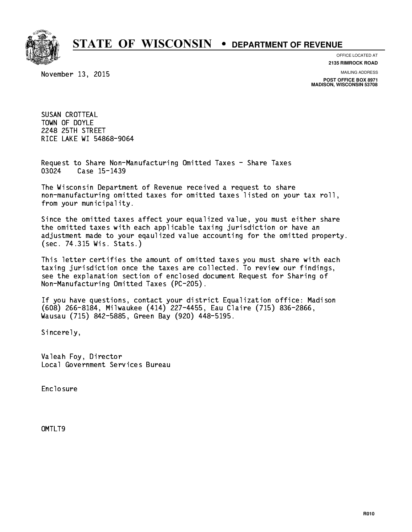

**OFFICE LOCATED AT**

November 13, 2015

**2135 RIMROCK ROAD**

**MAILING ADDRESS**

**POST OFFICE BOX 8971 MADISON, WISCONSIN 53708**

 SUSAN CROTTEAL TOWN OF DOYLE 2248 25TH STREET RICE LAKE WI 54868-9064

 Request to Share Non-Manufacturing Omitted Taxes - Share Taxes Case 15-1439 03024

 The Wisconsin Department of Revenue received a request to share non-manufacturing omitted taxes for omitted taxes listed on your tax roll, from your municipality.

 Since the omitted taxes affect your equalized value, you must either share the omitted taxes with each applicable taxing jurisdiction or have an adjustment made to your eqaulized value accounting for the omitted property. (sec. 74.315 Wis. Stats.)

 This letter certifies the amount of omitted taxes you must share with each taxing jurisdiction once the taxes are collected. To review our findings, see the explanation section of enclosed document Request for Sharing of Non-Manufacturing Omitted Taxes (PC-205).

 If you have questions, contact your district Equalization office: Madison (608) 266-8184, Milwaukee (414) 227-4455, Eau Claire (715) 836-2866, Wausau (715) 842-5885, Green Bay (920) 448-5195.

Sincerely,

 Valeah Foy, Director Local Government Services Bureau

Enclosure Enclosure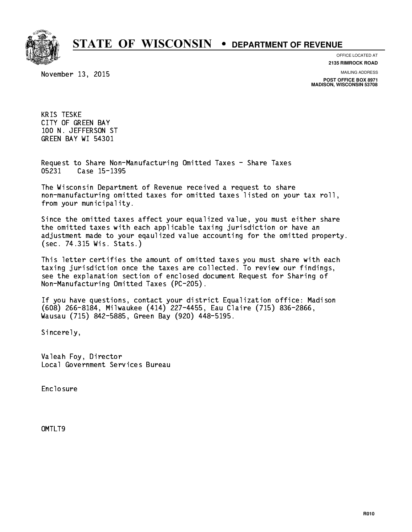

**OFFICE LOCATED AT**

November 13, 2015

**2135 RIMROCK ROAD**

**MAILING ADDRESS**

**POST OFFICE BOX 8971 MADISON, WISCONSIN 53708**

 KRIS TESKE CITY OF GREEN BAY 100 N. JEFFERSON ST GREEN BAY WI 54301

 Request to Share Non-Manufacturing Omitted Taxes - Share Taxes 05231 Case 15-1395

 The Wisconsin Department of Revenue received a request to share non-manufacturing omitted taxes for omitted taxes listed on your tax roll, from your municipality.

 Since the omitted taxes affect your equalized value, you must either share the omitted taxes with each applicable taxing jurisdiction or have an adjustment made to your eqaulized value accounting for the omitted property. (sec. 74.315 Wis. Stats.)

 This letter certifies the amount of omitted taxes you must share with each taxing jurisdiction once the taxes are collected. To review our findings, see the explanation section of enclosed document Request for Sharing of Non-Manufacturing Omitted Taxes (PC-205).

 If you have questions, contact your district Equalization office: Madison (608) 266-8184, Milwaukee (414) 227-4455, Eau Claire (715) 836-2866, Wausau (715) 842-5885, Green Bay (920) 448-5195.

Sincerely,

 Valeah Foy, Director Local Government Services Bureau

Enclosure Enclosure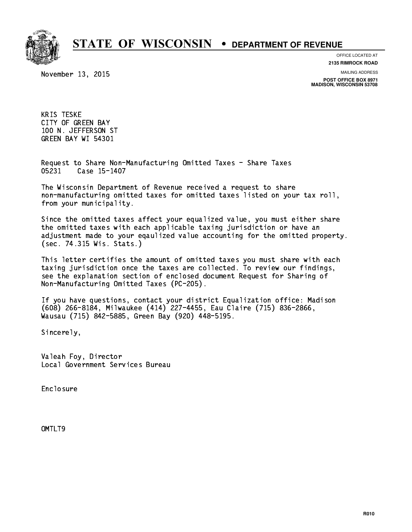

**OFFICE LOCATED AT**

November 13, 2015

**2135 RIMROCK ROAD**

**MAILING ADDRESS**

**POST OFFICE BOX 8971 MADISON, WISCONSIN 53708**

 KRIS TESKE CITY OF GREEN BAY 100 N. JEFFERSON ST GREEN BAY WI 54301

 Request to Share Non-Manufacturing Omitted Taxes - Share Taxes 05231 Case 15-1407

 The Wisconsin Department of Revenue received a request to share non-manufacturing omitted taxes for omitted taxes listed on your tax roll, from your municipality.

 Since the omitted taxes affect your equalized value, you must either share the omitted taxes with each applicable taxing jurisdiction or have an adjustment made to your eqaulized value accounting for the omitted property. (sec. 74.315 Wis. Stats.)

 This letter certifies the amount of omitted taxes you must share with each taxing jurisdiction once the taxes are collected. To review our findings, see the explanation section of enclosed document Request for Sharing of Non-Manufacturing Omitted Taxes (PC-205).

 If you have questions, contact your district Equalization office: Madison (608) 266-8184, Milwaukee (414) 227-4455, Eau Claire (715) 836-2866, Wausau (715) 842-5885, Green Bay (920) 448-5195.

Sincerely,

 Valeah Foy, Director Local Government Services Bureau

Enclosure Enclosure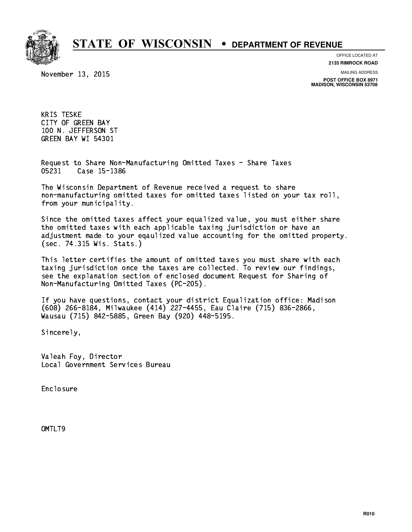

**OFFICE LOCATED AT**

November 13, 2015

**2135 RIMROCK ROAD**

**MAILING ADDRESS POST OFFICE BOX 8971 MADISON, WISCONSIN 53708**

 KRIS TESKE CITY OF GREEN BAY 100 N. JEFFERSON ST GREEN BAY WI 54301

 Request to Share Non-Manufacturing Omitted Taxes - Share Taxes 05231 Case 15-1386

 The Wisconsin Department of Revenue received a request to share non-manufacturing omitted taxes for omitted taxes listed on your tax roll, from your municipality.

 Since the omitted taxes affect your equalized value, you must either share the omitted taxes with each applicable taxing jurisdiction or have an adjustment made to your eqaulized value accounting for the omitted property. (sec. 74.315 Wis. Stats.)

 This letter certifies the amount of omitted taxes you must share with each taxing jurisdiction once the taxes are collected. To review our findings, see the explanation section of enclosed document Request for Sharing of Non-Manufacturing Omitted Taxes (PC-205).

 If you have questions, contact your district Equalization office: Madison (608) 266-8184, Milwaukee (414) 227-4455, Eau Claire (715) 836-2866, Wausau (715) 842-5885, Green Bay (920) 448-5195.

Sincerely,

 Valeah Foy, Director Local Government Services Bureau

Enclosure Enclosure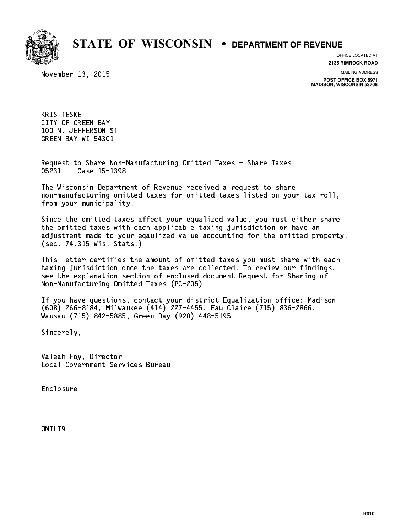

**OFFICE LOCATED AT**

November 13, 2015

**2135 RIMROCK ROAD**

**MAILING ADDRESS**

**POST OFFICE BOX 8971 MADISON, WISCONSIN 53708**

 KRIS TESKE CITY OF GREEN BAY 100 N. JEFFERSON ST GREEN BAY WI 54301

 Request to Share Non-Manufacturing Omitted Taxes - Share Taxes 05231 Case 15-1398

 The Wisconsin Department of Revenue received a request to share non-manufacturing omitted taxes for omitted taxes listed on your tax roll, from your municipality.

 Since the omitted taxes affect your equalized value, you must either share the omitted taxes with each applicable taxing jurisdiction or have an adjustment made to your eqaulized value accounting for the omitted property. (sec. 74.315 Wis. Stats.)

 This letter certifies the amount of omitted taxes you must share with each taxing jurisdiction once the taxes are collected. To review our findings, see the explanation section of enclosed document Request for Sharing of Non-Manufacturing Omitted Taxes (PC-205).

 If you have questions, contact your district Equalization office: Madison (608) 266-8184, Milwaukee (414) 227-4455, Eau Claire (715) 836-2866, Wausau (715) 842-5885, Green Bay (920) 448-5195.

Sincerely,

 Valeah Foy, Director Local Government Services Bureau

Enclosure Enclosure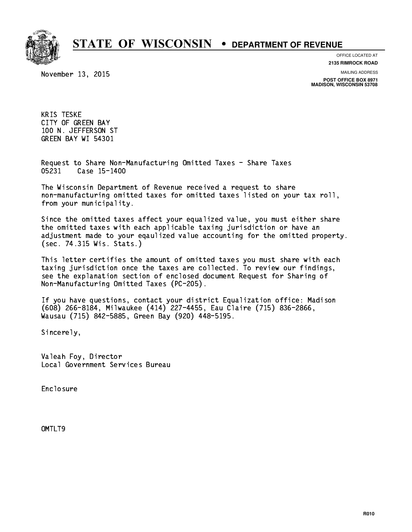

**OFFICE LOCATED AT**

November 13, 2015

**2135 RIMROCK ROAD**

**MAILING ADDRESS**

**POST OFFICE BOX 8971 MADISON, WISCONSIN 53708**

 KRIS TESKE CITY OF GREEN BAY 100 N. JEFFERSON ST GREEN BAY WI 54301

 Request to Share Non-Manufacturing Omitted Taxes - Share Taxes Case 15-1400 05231

 The Wisconsin Department of Revenue received a request to share non-manufacturing omitted taxes for omitted taxes listed on your tax roll, from your municipality.

 Since the omitted taxes affect your equalized value, you must either share the omitted taxes with each applicable taxing jurisdiction or have an adjustment made to your eqaulized value accounting for the omitted property. (sec. 74.315 Wis. Stats.)

 This letter certifies the amount of omitted taxes you must share with each taxing jurisdiction once the taxes are collected. To review our findings, see the explanation section of enclosed document Request for Sharing of Non-Manufacturing Omitted Taxes (PC-205).

 If you have questions, contact your district Equalization office: Madison (608) 266-8184, Milwaukee (414) 227-4455, Eau Claire (715) 836-2866, Wausau (715) 842-5885, Green Bay (920) 448-5195.

Sincerely,

 Valeah Foy, Director Local Government Services Bureau

Enclosure Enclosure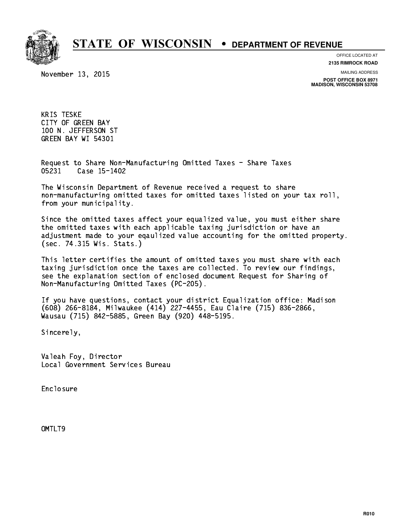

**OFFICE LOCATED AT**

November 13, 2015

**2135 RIMROCK ROAD**

**MAILING ADDRESS**

**POST OFFICE BOX 8971 MADISON, WISCONSIN 53708**

 KRIS TESKE CITY OF GREEN BAY 100 N. JEFFERSON ST GREEN BAY WI 54301

 Request to Share Non-Manufacturing Omitted Taxes - Share Taxes Case 15-1402 05231

 The Wisconsin Department of Revenue received a request to share non-manufacturing omitted taxes for omitted taxes listed on your tax roll, from your municipality.

 Since the omitted taxes affect your equalized value, you must either share the omitted taxes with each applicable taxing jurisdiction or have an adjustment made to your eqaulized value accounting for the omitted property. (sec. 74.315 Wis. Stats.)

 This letter certifies the amount of omitted taxes you must share with each taxing jurisdiction once the taxes are collected. To review our findings, see the explanation section of enclosed document Request for Sharing of Non-Manufacturing Omitted Taxes (PC-205).

 If you have questions, contact your district Equalization office: Madison (608) 266-8184, Milwaukee (414) 227-4455, Eau Claire (715) 836-2866, Wausau (715) 842-5885, Green Bay (920) 448-5195.

Sincerely,

 Valeah Foy, Director Local Government Services Bureau

Enclosure Enclosure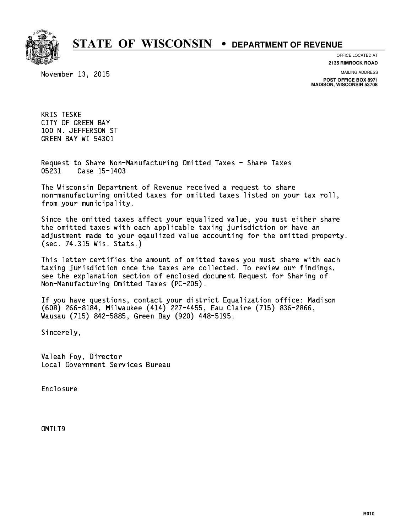

**OFFICE LOCATED AT**

November 13, 2015

**2135 RIMROCK ROAD**

**MAILING ADDRESS**

**POST OFFICE BOX 8971 MADISON, WISCONSIN 53708**

 KRIS TESKE CITY OF GREEN BAY 100 N. JEFFERSON ST GREEN BAY WI 54301

 Request to Share Non-Manufacturing Omitted Taxes - Share Taxes Case 15-1403 05231

 The Wisconsin Department of Revenue received a request to share non-manufacturing omitted taxes for omitted taxes listed on your tax roll, from your municipality.

 Since the omitted taxes affect your equalized value, you must either share the omitted taxes with each applicable taxing jurisdiction or have an adjustment made to your eqaulized value accounting for the omitted property. (sec. 74.315 Wis. Stats.)

 This letter certifies the amount of omitted taxes you must share with each taxing jurisdiction once the taxes are collected. To review our findings, see the explanation section of enclosed document Request for Sharing of Non-Manufacturing Omitted Taxes (PC-205).

 If you have questions, contact your district Equalization office: Madison (608) 266-8184, Milwaukee (414) 227-4455, Eau Claire (715) 836-2866, Wausau (715) 842-5885, Green Bay (920) 448-5195.

Sincerely,

 Valeah Foy, Director Local Government Services Bureau

Enclosure Enclosure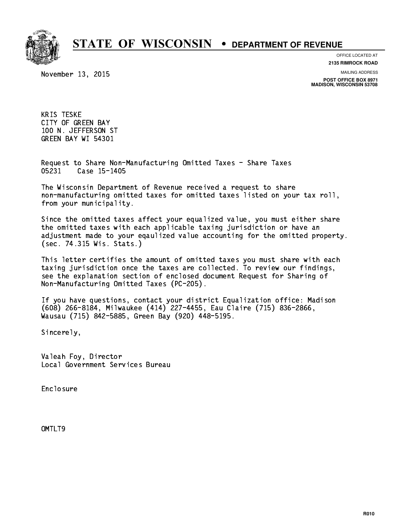

**OFFICE LOCATED AT**

November 13, 2015

**2135 RIMROCK ROAD**

**MAILING ADDRESS**

**POST OFFICE BOX 8971 MADISON, WISCONSIN 53708**

 KRIS TESKE CITY OF GREEN BAY 100 N. JEFFERSON ST GREEN BAY WI 54301

 Request to Share Non-Manufacturing Omitted Taxes - Share Taxes Case 15-1405 05231

 The Wisconsin Department of Revenue received a request to share non-manufacturing omitted taxes for omitted taxes listed on your tax roll, from your municipality.

 Since the omitted taxes affect your equalized value, you must either share the omitted taxes with each applicable taxing jurisdiction or have an adjustment made to your eqaulized value accounting for the omitted property. (sec. 74.315 Wis. Stats.)

 This letter certifies the amount of omitted taxes you must share with each taxing jurisdiction once the taxes are collected. To review our findings, see the explanation section of enclosed document Request for Sharing of Non-Manufacturing Omitted Taxes (PC-205).

 If you have questions, contact your district Equalization office: Madison (608) 266-8184, Milwaukee (414) 227-4455, Eau Claire (715) 836-2866, Wausau (715) 842-5885, Green Bay (920) 448-5195.

Sincerely,

 Valeah Foy, Director Local Government Services Bureau

Enclosure Enclosure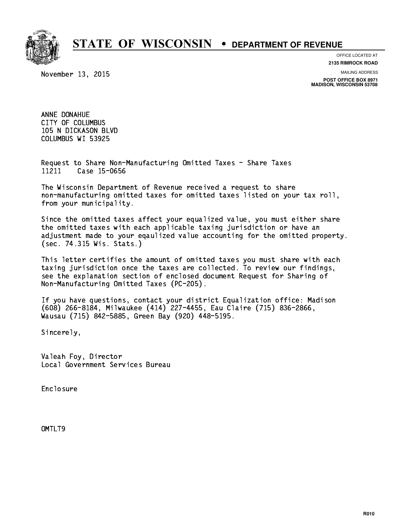

**OFFICE LOCATED AT**

November 13, 2015

**2135 RIMROCK ROAD**

**MAILING ADDRESS**

**POST OFFICE BOX 8971 MADISON, WISCONSIN 53708**

 ANNE DONAHUE CITY OF COLUMBUS 105 N DICKASON BLVD COLUMBUS WI 53925

 Request to Share Non-Manufacturing Omitted Taxes - Share Taxes 11211 Case 15-0656

 The Wisconsin Department of Revenue received a request to share non-manufacturing omitted taxes for omitted taxes listed on your tax roll, from your municipality.

 Since the omitted taxes affect your equalized value, you must either share the omitted taxes with each applicable taxing jurisdiction or have an adjustment made to your eqaulized value accounting for the omitted property. (sec. 74.315 Wis. Stats.)

 This letter certifies the amount of omitted taxes you must share with each taxing jurisdiction once the taxes are collected. To review our findings, see the explanation section of enclosed document Request for Sharing of Non-Manufacturing Omitted Taxes (PC-205).

 If you have questions, contact your district Equalization office: Madison (608) 266-8184, Milwaukee (414) 227-4455, Eau Claire (715) 836-2866, Wausau (715) 842-5885, Green Bay (920) 448-5195.

Sincerely,

 Valeah Foy, Director Local Government Services Bureau

Enclosure Enclosure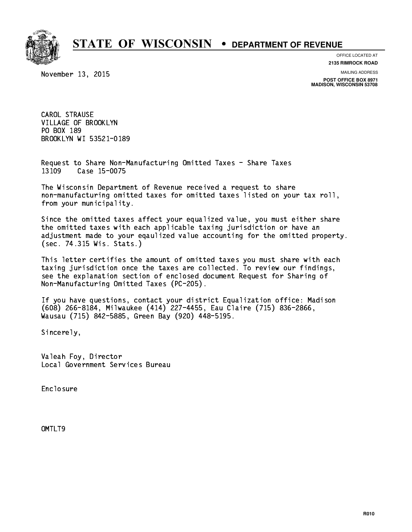

**OFFICE LOCATED AT**

**2135 RIMROCK ROAD**

November 13, 2015

**MAILING ADDRESS**

**POST OFFICE BOX 8971 MADISON, WISCONSIN 53708**

 CAROL STRAUSE VILLAGE OF BROOKLYN PO BOX 189 PO BOX 189 BROOKLYN WI 53521-0189

 Request to Share Non-Manufacturing Omitted Taxes - Share Taxes 13109 Case 15-0075

 The Wisconsin Department of Revenue received a request to share non-manufacturing omitted taxes for omitted taxes listed on your tax roll, from your municipality.

 Since the omitted taxes affect your equalized value, you must either share the omitted taxes with each applicable taxing jurisdiction or have an adjustment made to your eqaulized value accounting for the omitted property. (sec. 74.315 Wis. Stats.)

 This letter certifies the amount of omitted taxes you must share with each taxing jurisdiction once the taxes are collected. To review our findings, see the explanation section of enclosed document Request for Sharing of Non-Manufacturing Omitted Taxes (PC-205).

 If you have questions, contact your district Equalization office: Madison (608) 266-8184, Milwaukee (414) 227-4455, Eau Claire (715) 836-2866, Wausau (715) 842-5885, Green Bay (920) 448-5195.

Sincerely,

 Valeah Foy, Director Local Government Services Bureau

Enclosure Enclosure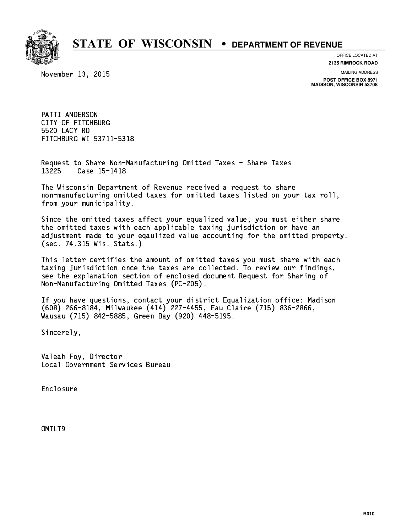

**OFFICE LOCATED AT**

November 13, 2015

**2135 RIMROCK ROAD**

**MAILING ADDRESS**

**POST OFFICE BOX 8971 MADISON, WISCONSIN 53708**

 PATTI ANDERSON CITY OF FITCHBURG 5520 LACY RD 5520 LACY RD FITCHBURG WI 53711-5318

 Request to Share Non-Manufacturing Omitted Taxes - Share Taxes Case 15-1418 13225

 The Wisconsin Department of Revenue received a request to share non-manufacturing omitted taxes for omitted taxes listed on your tax roll, from your municipality.

 Since the omitted taxes affect your equalized value, you must either share the omitted taxes with each applicable taxing jurisdiction or have an adjustment made to your eqaulized value accounting for the omitted property. (sec. 74.315 Wis. Stats.)

 This letter certifies the amount of omitted taxes you must share with each taxing jurisdiction once the taxes are collected. To review our findings, see the explanation section of enclosed document Request for Sharing of Non-Manufacturing Omitted Taxes (PC-205).

 If you have questions, contact your district Equalization office: Madison (608) 266-8184, Milwaukee (414) 227-4455, Eau Claire (715) 836-2866, Wausau (715) 842-5885, Green Bay (920) 448-5195.

Sincerely,

 Valeah Foy, Director Local Government Services Bureau

Enclosure Enclosure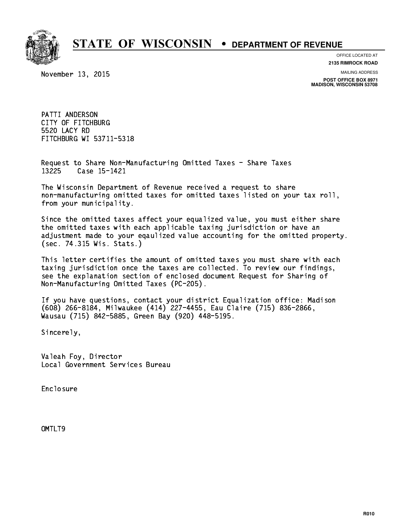

**OFFICE LOCATED AT**

November 13, 2015

**2135 RIMROCK ROAD**

**MAILING ADDRESS**

**POST OFFICE BOX 8971 MADISON, WISCONSIN 53708**

 PATTI ANDERSON CITY OF FITCHBURG 5520 LACY RD 5520 LACY RD FITCHBURG WI 53711-5318

 Request to Share Non-Manufacturing Omitted Taxes - Share Taxes Case 15-1421 13225

 The Wisconsin Department of Revenue received a request to share non-manufacturing omitted taxes for omitted taxes listed on your tax roll, from your municipality.

 Since the omitted taxes affect your equalized value, you must either share the omitted taxes with each applicable taxing jurisdiction or have an adjustment made to your eqaulized value accounting for the omitted property. (sec. 74.315 Wis. Stats.)

 This letter certifies the amount of omitted taxes you must share with each taxing jurisdiction once the taxes are collected. To review our findings, see the explanation section of enclosed document Request for Sharing of Non-Manufacturing Omitted Taxes (PC-205).

 If you have questions, contact your district Equalization office: Madison (608) 266-8184, Milwaukee (414) 227-4455, Eau Claire (715) 836-2866, Wausau (715) 842-5885, Green Bay (920) 448-5195.

Sincerely,

 Valeah Foy, Director Local Government Services Bureau

Enclosure Enclosure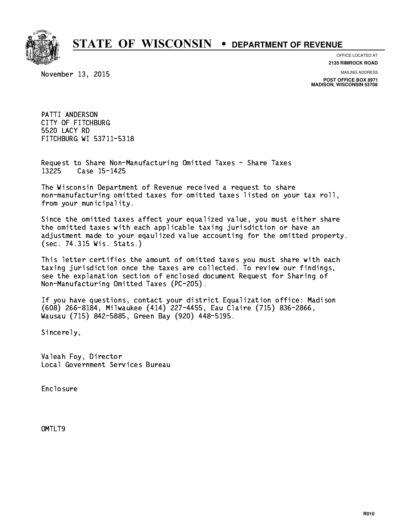

**OFFICE LOCATED AT**

November 13, 2015

**2135 RIMROCK ROAD**

**MAILING ADDRESS**

**POST OFFICE BOX 8971 MADISON, WISCONSIN 53708**

 PATTI ANDERSON CITY OF FITCHBURG 5520 LACY RD 5520 LACY RD FITCHBURG WI 53711-5318

 Request to Share Non-Manufacturing Omitted Taxes - Share Taxes Case 15-1425 13225

 The Wisconsin Department of Revenue received a request to share non-manufacturing omitted taxes for omitted taxes listed on your tax roll, from your municipality.

 Since the omitted taxes affect your equalized value, you must either share the omitted taxes with each applicable taxing jurisdiction or have an adjustment made to your eqaulized value accounting for the omitted property. (sec. 74.315 Wis. Stats.)

 This letter certifies the amount of omitted taxes you must share with each taxing jurisdiction once the taxes are collected. To review our findings, see the explanation section of enclosed document Request for Sharing of Non-Manufacturing Omitted Taxes (PC-205).

 If you have questions, contact your district Equalization office: Madison (608) 266-8184, Milwaukee (414) 227-4455, Eau Claire (715) 836-2866, Wausau (715) 842-5885, Green Bay (920) 448-5195.

Sincerely,

 Valeah Foy, Director Local Government Services Bureau

Enclosure Enclosure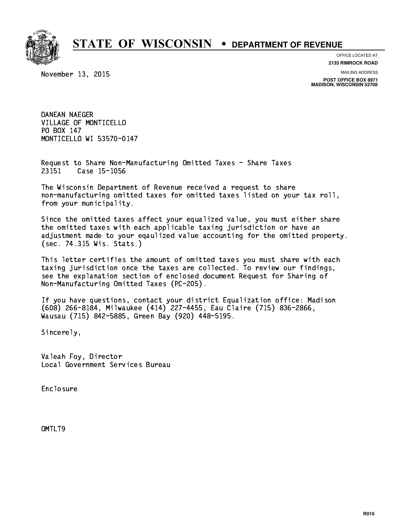

**OFFICE LOCATED AT**

**2135 RIMROCK ROAD**

November 13, 2015

**MAILING ADDRESS**

**POST OFFICE BOX 8971 MADISON, WISCONSIN 53708**

 DANEAN NAEGER VILLAGE OF MONTICELLO PO BOX 147 PO BOX 147 MONTICELLO WI 53570-0147

 Request to Share Non-Manufacturing Omitted Taxes - Share Taxes Case 15-1056 23151

 The Wisconsin Department of Revenue received a request to share non-manufacturing omitted taxes for omitted taxes listed on your tax roll, from your municipality.

 Since the omitted taxes affect your equalized value, you must either share the omitted taxes with each applicable taxing jurisdiction or have an adjustment made to your eqaulized value accounting for the omitted property. (sec. 74.315 Wis. Stats.)

 This letter certifies the amount of omitted taxes you must share with each taxing jurisdiction once the taxes are collected. To review our findings, see the explanation section of enclosed document Request for Sharing of Non-Manufacturing Omitted Taxes (PC-205).

 If you have questions, contact your district Equalization office: Madison (608) 266-8184, Milwaukee (414) 227-4455, Eau Claire (715) 836-2866, Wausau (715) 842-5885, Green Bay (920) 448-5195.

Sincerely,

 Valeah Foy, Director Local Government Services Bureau

Enclosure Enclosure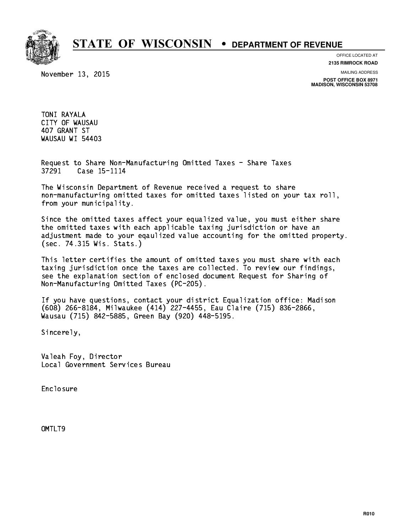

November 13, 2015

**OFFICE LOCATED AT 2135 RIMROCK ROAD**

**MAILING ADDRESS**

**POST OFFICE BOX 8971 MADISON, WISCONSIN 53708**

 TONI RAYALA CITY OF WAUSAU 407 GRANT ST WAUSAU WI 54403

 Request to Share Non-Manufacturing Omitted Taxes - Share Taxes 37291 Case 15-1114

 The Wisconsin Department of Revenue received a request to share non-manufacturing omitted taxes for omitted taxes listed on your tax roll, from your municipality.

 Since the omitted taxes affect your equalized value, you must either share the omitted taxes with each applicable taxing jurisdiction or have an adjustment made to your eqaulized value accounting for the omitted property. (sec. 74.315 Wis. Stats.)

 This letter certifies the amount of omitted taxes you must share with each taxing jurisdiction once the taxes are collected. To review our findings, see the explanation section of enclosed document Request for Sharing of Non-Manufacturing Omitted Taxes (PC-205).

 If you have questions, contact your district Equalization office: Madison (608) 266-8184, Milwaukee (414) 227-4455, Eau Claire (715) 836-2866, Wausau (715) 842-5885, Green Bay (920) 448-5195.

Sincerely,

 Valeah Foy, Director Local Government Services Bureau

Enclosure Enclosure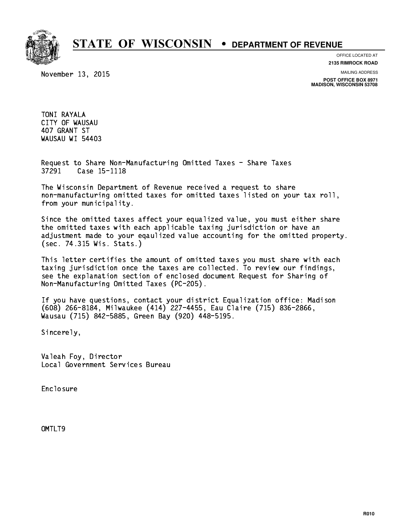

November 13, 2015

**OFFICE LOCATED AT 2135 RIMROCK ROAD**

**MAILING ADDRESS**

**POST OFFICE BOX 8971 MADISON, WISCONSIN 53708**

 TONI RAYALA CITY OF WAUSAU 407 GRANT ST WAUSAU WI 54403

 Request to Share Non-Manufacturing Omitted Taxes - Share Taxes 37291 Case 15-1118

 The Wisconsin Department of Revenue received a request to share non-manufacturing omitted taxes for omitted taxes listed on your tax roll, from your municipality.

 Since the omitted taxes affect your equalized value, you must either share the omitted taxes with each applicable taxing jurisdiction or have an adjustment made to your eqaulized value accounting for the omitted property. (sec. 74.315 Wis. Stats.)

 This letter certifies the amount of omitted taxes you must share with each taxing jurisdiction once the taxes are collected. To review our findings, see the explanation section of enclosed document Request for Sharing of Non-Manufacturing Omitted Taxes (PC-205).

 If you have questions, contact your district Equalization office: Madison (608) 266-8184, Milwaukee (414) 227-4455, Eau Claire (715) 836-2866, Wausau (715) 842-5885, Green Bay (920) 448-5195.

Sincerely,

 Valeah Foy, Director Local Government Services Bureau

Enclosure Enclosure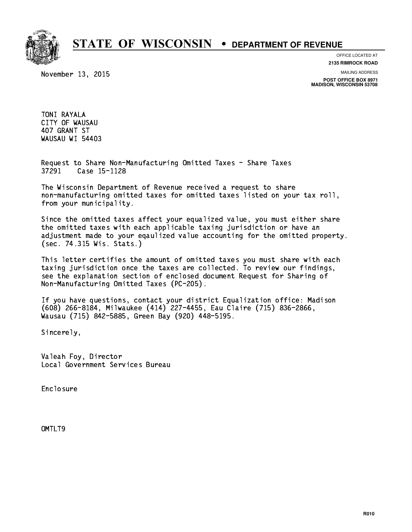

November 13, 2015

**OFFICE LOCATED AT 2135 RIMROCK ROAD**

**MAILING ADDRESS**

**POST OFFICE BOX 8971 MADISON, WISCONSIN 53708**

 TONI RAYALA CITY OF WAUSAU 407 GRANT ST WAUSAU WI 54403

 Request to Share Non-Manufacturing Omitted Taxes - Share Taxes 37291 Case 15-1128

 The Wisconsin Department of Revenue received a request to share non-manufacturing omitted taxes for omitted taxes listed on your tax roll, from your municipality.

 Since the omitted taxes affect your equalized value, you must either share the omitted taxes with each applicable taxing jurisdiction or have an adjustment made to your eqaulized value accounting for the omitted property. (sec. 74.315 Wis. Stats.)

 This letter certifies the amount of omitted taxes you must share with each taxing jurisdiction once the taxes are collected. To review our findings, see the explanation section of enclosed document Request for Sharing of Non-Manufacturing Omitted Taxes (PC-205).

 If you have questions, contact your district Equalization office: Madison (608) 266-8184, Milwaukee (414) 227-4455, Eau Claire (715) 836-2866, Wausau (715) 842-5885, Green Bay (920) 448-5195.

Sincerely,

 Valeah Foy, Director Local Government Services Bureau

Enclosure Enclosure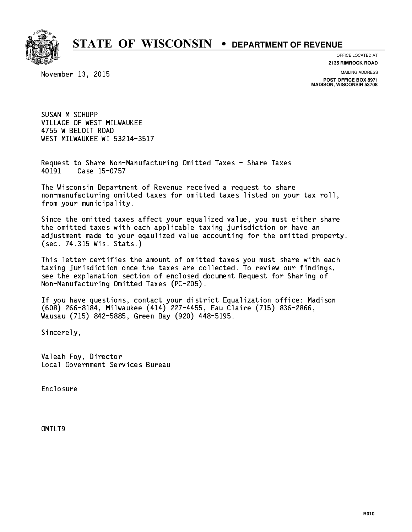

**OFFICE LOCATED AT**

**2135 RIMROCK ROAD**

November 13, 2015

**MAILING ADDRESS**

**POST OFFICE BOX 8971 MADISON, WISCONSIN 53708**

 SUSAN M SCHUPP VILLAGE OF WEST MILWAUKEE 4755 W BELOIT ROAD WEST MILWAUKEE WI 53214-3517

 Request to Share Non-Manufacturing Omitted Taxes - Share Taxes Case 15-0757 40191

 The Wisconsin Department of Revenue received a request to share non-manufacturing omitted taxes for omitted taxes listed on your tax roll, from your municipality.

 Since the omitted taxes affect your equalized value, you must either share the omitted taxes with each applicable taxing jurisdiction or have an adjustment made to your eqaulized value accounting for the omitted property. (sec. 74.315 Wis. Stats.)

 This letter certifies the amount of omitted taxes you must share with each taxing jurisdiction once the taxes are collected. To review our findings, see the explanation section of enclosed document Request for Sharing of Non-Manufacturing Omitted Taxes (PC-205).

 If you have questions, contact your district Equalization office: Madison (608) 266-8184, Milwaukee (414) 227-4455, Eau Claire (715) 836-2866, Wausau (715) 842-5885, Green Bay (920) 448-5195.

Sincerely,

 Valeah Foy, Director Local Government Services Bureau

Enclosure Enclosure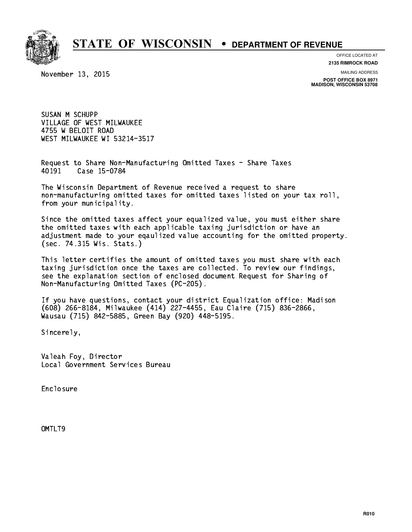

**OFFICE LOCATED AT**

**2135 RIMROCK ROAD**

November 13, 2015

**MAILING ADDRESS**

**POST OFFICE BOX 8971 MADISON, WISCONSIN 53708**

 SUSAN M SCHUPP VILLAGE OF WEST MILWAUKEE 4755 W BELOIT ROAD WEST MILWAUKEE WI 53214-3517

 Request to Share Non-Manufacturing Omitted Taxes - Share Taxes Case 15-0784 40191

 The Wisconsin Department of Revenue received a request to share non-manufacturing omitted taxes for omitted taxes listed on your tax roll, from your municipality.

 Since the omitted taxes affect your equalized value, you must either share the omitted taxes with each applicable taxing jurisdiction or have an adjustment made to your eqaulized value accounting for the omitted property. (sec. 74.315 Wis. Stats.)

 This letter certifies the amount of omitted taxes you must share with each taxing jurisdiction once the taxes are collected. To review our findings, see the explanation section of enclosed document Request for Sharing of Non-Manufacturing Omitted Taxes (PC-205).

 If you have questions, contact your district Equalization office: Madison (608) 266-8184, Milwaukee (414) 227-4455, Eau Claire (715) 836-2866, Wausau (715) 842-5885, Green Bay (920) 448-5195.

Sincerely,

 Valeah Foy, Director Local Government Services Bureau

Enclosure Enclosure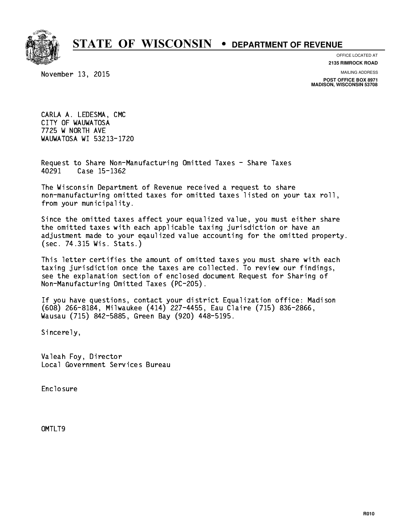

**OFFICE LOCATED AT**

November 13, 2015

**2135 RIMROCK ROAD**

**MAILING ADDRESS POST OFFICE BOX 8971 MADISON, WISCONSIN 53708**

 CARLA A. LEDESMA, CMC CITY OF WAUWATOSA 7725 W NORTH AVE WAUWATOSA WI 53213-1720

 Request to Share Non-Manufacturing Omitted Taxes - Share Taxes Case 15-1362 40291

 The Wisconsin Department of Revenue received a request to share non-manufacturing omitted taxes for omitted taxes listed on your tax roll, from your municipality.

 Since the omitted taxes affect your equalized value, you must either share the omitted taxes with each applicable taxing jurisdiction or have an adjustment made to your eqaulized value accounting for the omitted property. (sec. 74.315 Wis. Stats.)

 This letter certifies the amount of omitted taxes you must share with each taxing jurisdiction once the taxes are collected. To review our findings, see the explanation section of enclosed document Request for Sharing of Non-Manufacturing Omitted Taxes (PC-205).

 If you have questions, contact your district Equalization office: Madison (608) 266-8184, Milwaukee (414) 227-4455, Eau Claire (715) 836-2866, Wausau (715) 842-5885, Green Bay (920) 448-5195.

Sincerely,

 Valeah Foy, Director Local Government Services Bureau

Enclosure Enclosure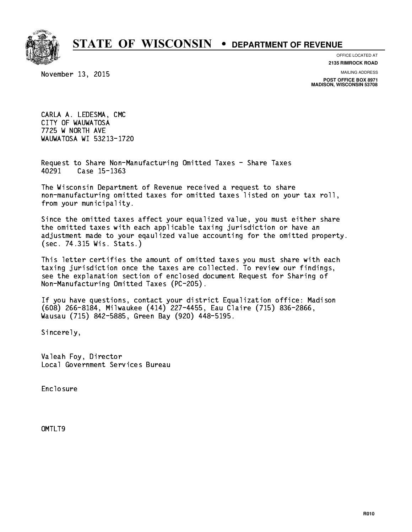

**OFFICE LOCATED AT**

November 13, 2015

**2135 RIMROCK ROAD**

**MAILING ADDRESS POST OFFICE BOX 8971 MADISON, WISCONSIN 53708**

 CARLA A. LEDESMA, CMC CITY OF WAUWATOSA 7725 W NORTH AVE WAUWATOSA WI 53213-1720

 Request to Share Non-Manufacturing Omitted Taxes - Share Taxes Case 15-1363 40291

 The Wisconsin Department of Revenue received a request to share non-manufacturing omitted taxes for omitted taxes listed on your tax roll, from your municipality.

 Since the omitted taxes affect your equalized value, you must either share the omitted taxes with each applicable taxing jurisdiction or have an adjustment made to your eqaulized value accounting for the omitted property. (sec. 74.315 Wis. Stats.)

 This letter certifies the amount of omitted taxes you must share with each taxing jurisdiction once the taxes are collected. To review our findings, see the explanation section of enclosed document Request for Sharing of Non-Manufacturing Omitted Taxes (PC-205).

 If you have questions, contact your district Equalization office: Madison (608) 266-8184, Milwaukee (414) 227-4455, Eau Claire (715) 836-2866, Wausau (715) 842-5885, Green Bay (920) 448-5195.

Sincerely,

 Valeah Foy, Director Local Government Services Bureau

Enclosure Enclosure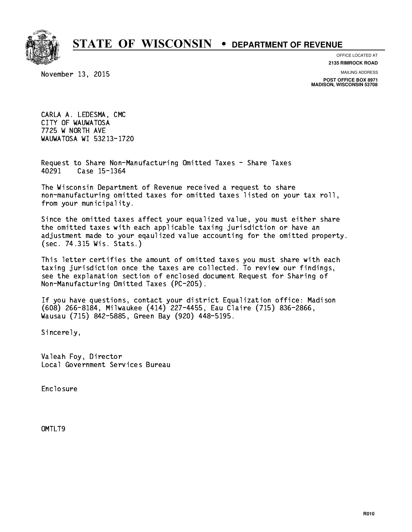

**OFFICE LOCATED AT**

November 13, 2015

**2135 RIMROCK ROAD**

**MAILING ADDRESS POST OFFICE BOX 8971 MADISON, WISCONSIN 53708**

 CARLA A. LEDESMA, CMC CITY OF WAUWATOSA 7725 W NORTH AVE WAUWATOSA WI 53213-1720

 Request to Share Non-Manufacturing Omitted Taxes - Share Taxes Case 15-1364 40291

 The Wisconsin Department of Revenue received a request to share non-manufacturing omitted taxes for omitted taxes listed on your tax roll, from your municipality.

 Since the omitted taxes affect your equalized value, you must either share the omitted taxes with each applicable taxing jurisdiction or have an adjustment made to your eqaulized value accounting for the omitted property. (sec. 74.315 Wis. Stats.)

 This letter certifies the amount of omitted taxes you must share with each taxing jurisdiction once the taxes are collected. To review our findings, see the explanation section of enclosed document Request for Sharing of Non-Manufacturing Omitted Taxes (PC-205).

 If you have questions, contact your district Equalization office: Madison (608) 266-8184, Milwaukee (414) 227-4455, Eau Claire (715) 836-2866, Wausau (715) 842-5885, Green Bay (920) 448-5195.

Sincerely,

 Valeah Foy, Director Local Government Services Bureau

Enclosure Enclosure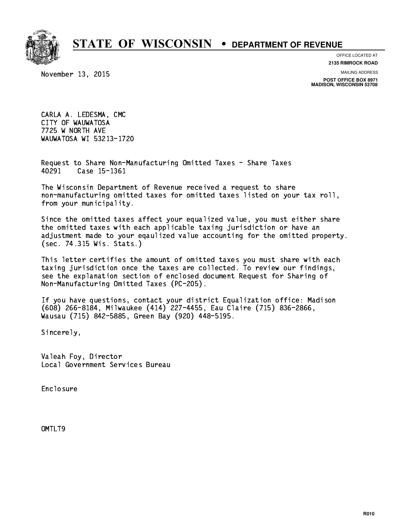

**OFFICE LOCATED AT**

November 13, 2015

**2135 RIMROCK ROAD**

**MAILING ADDRESS POST OFFICE BOX 8971 MADISON, WISCONSIN 53708**

 CARLA A. LEDESMA, CMC CITY OF WAUWATOSA 7725 W NORTH AVE WAUWATOSA WI 53213-1720

 Request to Share Non-Manufacturing Omitted Taxes - Share Taxes 40291 Case 15-1361

 The Wisconsin Department of Revenue received a request to share non-manufacturing omitted taxes for omitted taxes listed on your tax roll, from your municipality.

 Since the omitted taxes affect your equalized value, you must either share the omitted taxes with each applicable taxing jurisdiction or have an adjustment made to your eqaulized value accounting for the omitted property. (sec. 74.315 Wis. Stats.)

 This letter certifies the amount of omitted taxes you must share with each taxing jurisdiction once the taxes are collected. To review our findings, see the explanation section of enclosed document Request for Sharing of Non-Manufacturing Omitted Taxes (PC-205).

 If you have questions, contact your district Equalization office: Madison (608) 266-8184, Milwaukee (414) 227-4455, Eau Claire (715) 836-2866, Wausau (715) 842-5885, Green Bay (920) 448-5195.

Sincerely,

 Valeah Foy, Director Local Government Services Bureau

Enclosure Enclosure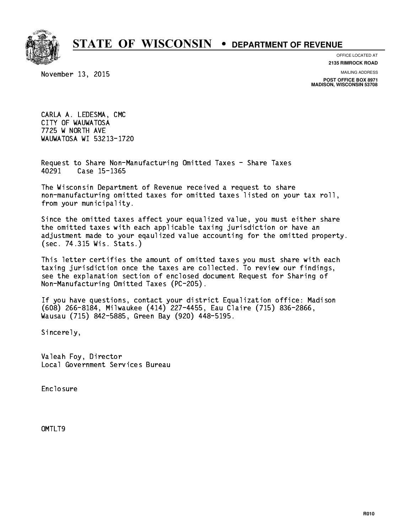

**OFFICE LOCATED AT**

November 13, 2015

**2135 RIMROCK ROAD**

**MAILING ADDRESS POST OFFICE BOX 8971 MADISON, WISCONSIN 53708**

 CARLA A. LEDESMA, CMC CITY OF WAUWATOSA 7725 W NORTH AVE WAUWATOSA WI 53213-1720

 Request to Share Non-Manufacturing Omitted Taxes - Share Taxes 40291 Case 15-1365

 The Wisconsin Department of Revenue received a request to share non-manufacturing omitted taxes for omitted taxes listed on your tax roll, from your municipality.

 Since the omitted taxes affect your equalized value, you must either share the omitted taxes with each applicable taxing jurisdiction or have an adjustment made to your eqaulized value accounting for the omitted property. (sec. 74.315 Wis. Stats.)

 This letter certifies the amount of omitted taxes you must share with each taxing jurisdiction once the taxes are collected. To review our findings, see the explanation section of enclosed document Request for Sharing of Non-Manufacturing Omitted Taxes (PC-205).

 If you have questions, contact your district Equalization office: Madison (608) 266-8184, Milwaukee (414) 227-4455, Eau Claire (715) 836-2866, Wausau (715) 842-5885, Green Bay (920) 448-5195.

Sincerely,

 Valeah Foy, Director Local Government Services Bureau

Enclosure Enclosure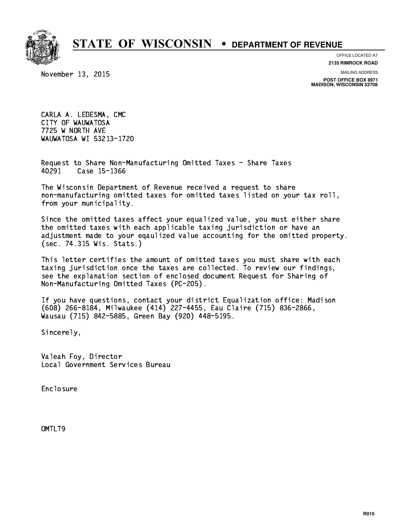

**OFFICE LOCATED AT**

November 13, 2015

**2135 RIMROCK ROAD**

**MAILING ADDRESS POST OFFICE BOX 8971 MADISON, WISCONSIN 53708**

 CARLA A. LEDESMA, CMC CITY OF WAUWATOSA 7725 W NORTH AVE WAUWATOSA WI 53213-1720

 Request to Share Non-Manufacturing Omitted Taxes - Share Taxes 40291 Case 15-1366

 The Wisconsin Department of Revenue received a request to share non-manufacturing omitted taxes for omitted taxes listed on your tax roll, from your municipality.

 Since the omitted taxes affect your equalized value, you must either share the omitted taxes with each applicable taxing jurisdiction or have an adjustment made to your eqaulized value accounting for the omitted property. (sec. 74.315 Wis. Stats.)

 This letter certifies the amount of omitted taxes you must share with each taxing jurisdiction once the taxes are collected. To review our findings, see the explanation section of enclosed document Request for Sharing of Non-Manufacturing Omitted Taxes (PC-205).

 If you have questions, contact your district Equalization office: Madison (608) 266-8184, Milwaukee (414) 227-4455, Eau Claire (715) 836-2866, Wausau (715) 842-5885, Green Bay (920) 448-5195.

Sincerely,

 Valeah Foy, Director Local Government Services Bureau

Enclosure Enclosure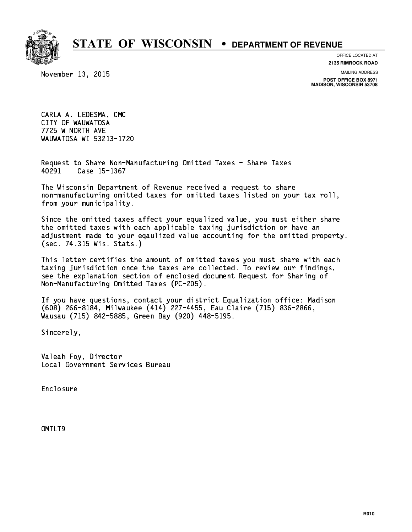

**OFFICE LOCATED AT**

November 13, 2015

**2135 RIMROCK ROAD**

**MAILING ADDRESS POST OFFICE BOX 8971 MADISON, WISCONSIN 53708**

 CARLA A. LEDESMA, CMC CITY OF WAUWATOSA 7725 W NORTH AVE WAUWATOSA WI 53213-1720

 Request to Share Non-Manufacturing Omitted Taxes - Share Taxes 40291 Case 15-1367

 The Wisconsin Department of Revenue received a request to share non-manufacturing omitted taxes for omitted taxes listed on your tax roll, from your municipality.

 Since the omitted taxes affect your equalized value, you must either share the omitted taxes with each applicable taxing jurisdiction or have an adjustment made to your eqaulized value accounting for the omitted property. (sec. 74.315 Wis. Stats.)

 This letter certifies the amount of omitted taxes you must share with each taxing jurisdiction once the taxes are collected. To review our findings, see the explanation section of enclosed document Request for Sharing of Non-Manufacturing Omitted Taxes (PC-205).

 If you have questions, contact your district Equalization office: Madison (608) 266-8184, Milwaukee (414) 227-4455, Eau Claire (715) 836-2866, Wausau (715) 842-5885, Green Bay (920) 448-5195.

Sincerely,

 Valeah Foy, Director Local Government Services Bureau

Enclosure Enclosure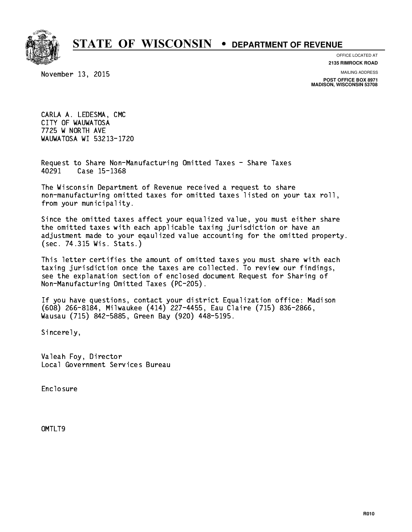

**OFFICE LOCATED AT**

November 13, 2015

**2135 RIMROCK ROAD**

**MAILING ADDRESS POST OFFICE BOX 8971 MADISON, WISCONSIN 53708**

 CARLA A. LEDESMA, CMC CITY OF WAUWATOSA 7725 W NORTH AVE WAUWATOSA WI 53213-1720

 Request to Share Non-Manufacturing Omitted Taxes - Share Taxes 40291 Case 15-1368

 The Wisconsin Department of Revenue received a request to share non-manufacturing omitted taxes for omitted taxes listed on your tax roll, from your municipality.

 Since the omitted taxes affect your equalized value, you must either share the omitted taxes with each applicable taxing jurisdiction or have an adjustment made to your eqaulized value accounting for the omitted property. (sec. 74.315 Wis. Stats.)

 This letter certifies the amount of omitted taxes you must share with each taxing jurisdiction once the taxes are collected. To review our findings, see the explanation section of enclosed document Request for Sharing of Non-Manufacturing Omitted Taxes (PC-205).

 If you have questions, contact your district Equalization office: Madison (608) 266-8184, Milwaukee (414) 227-4455, Eau Claire (715) 836-2866, Wausau (715) 842-5885, Green Bay (920) 448-5195.

Sincerely,

 Valeah Foy, Director Local Government Services Bureau

Enclosure Enclosure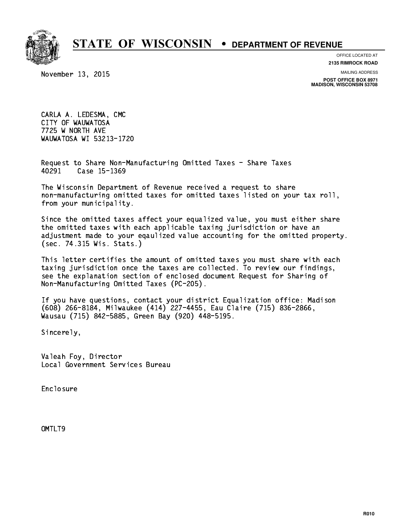

**OFFICE LOCATED AT**

November 13, 2015

**2135 RIMROCK ROAD**

**MAILING ADDRESS POST OFFICE BOX 8971 MADISON, WISCONSIN 53708**

 CARLA A. LEDESMA, CMC CITY OF WAUWATOSA 7725 W NORTH AVE WAUWATOSA WI 53213-1720

 Request to Share Non-Manufacturing Omitted Taxes - Share Taxes Case 15-1369 40291

 The Wisconsin Department of Revenue received a request to share non-manufacturing omitted taxes for omitted taxes listed on your tax roll, from your municipality.

 Since the omitted taxes affect your equalized value, you must either share the omitted taxes with each applicable taxing jurisdiction or have an adjustment made to your eqaulized value accounting for the omitted property. (sec. 74.315 Wis. Stats.)

 This letter certifies the amount of omitted taxes you must share with each taxing jurisdiction once the taxes are collected. To review our findings, see the explanation section of enclosed document Request for Sharing of Non-Manufacturing Omitted Taxes (PC-205).

 If you have questions, contact your district Equalization office: Madison (608) 266-8184, Milwaukee (414) 227-4455, Eau Claire (715) 836-2866, Wausau (715) 842-5885, Green Bay (920) 448-5195.

Sincerely,

 Valeah Foy, Director Local Government Services Bureau

Enclosure Enclosure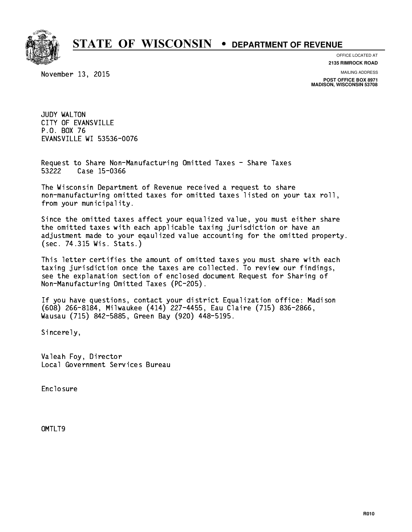

**OFFICE LOCATED AT**

November 13, 2015

**2135 RIMROCK ROAD**

**MAILING ADDRESS**

**POST OFFICE BOX 8971 MADISON, WISCONSIN 53708**

 JUDY WALTON CITY OF EVANSVILLE P.O. BOX 76 P.O. BOX 76 EVANSVILLE WI 53536-0076

 Request to Share Non-Manufacturing Omitted Taxes - Share Taxes 53222 Case 15-0366

 The Wisconsin Department of Revenue received a request to share non-manufacturing omitted taxes for omitted taxes listed on your tax roll, from your municipality.

 Since the omitted taxes affect your equalized value, you must either share the omitted taxes with each applicable taxing jurisdiction or have an adjustment made to your eqaulized value accounting for the omitted property. (sec. 74.315 Wis. Stats.)

 This letter certifies the amount of omitted taxes you must share with each taxing jurisdiction once the taxes are collected. To review our findings, see the explanation section of enclosed document Request for Sharing of Non-Manufacturing Omitted Taxes (PC-205).

 If you have questions, contact your district Equalization office: Madison (608) 266-8184, Milwaukee (414) 227-4455, Eau Claire (715) 836-2866, Wausau (715) 842-5885, Green Bay (920) 448-5195.

Sincerely,

 Valeah Foy, Director Local Government Services Bureau

Enclosure Enclosure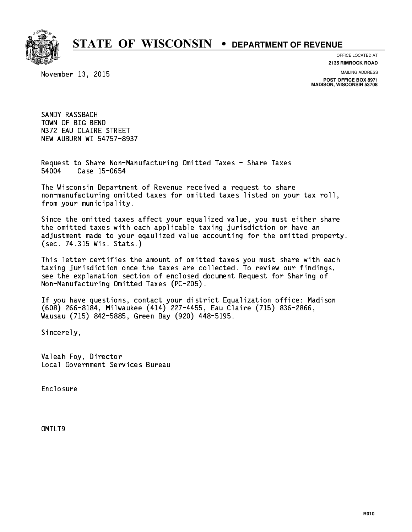

**OFFICE LOCATED AT**

**2135 RIMROCK ROAD**

November 13, 2015

**MAILING ADDRESS**

**POST OFFICE BOX 8971 MADISON, WISCONSIN 53708**

 SANDY RASSBACH TOWN OF BIG BEND N372 EAU CLAIRE STREET NEW AUBURN WI 54757-8937

 Request to Share Non-Manufacturing Omitted Taxes - Share Taxes Case 15-0654 54004

 The Wisconsin Department of Revenue received a request to share non-manufacturing omitted taxes for omitted taxes listed on your tax roll, from your municipality.

 Since the omitted taxes affect your equalized value, you must either share the omitted taxes with each applicable taxing jurisdiction or have an adjustment made to your eqaulized value accounting for the omitted property. (sec. 74.315 Wis. Stats.)

 This letter certifies the amount of omitted taxes you must share with each taxing jurisdiction once the taxes are collected. To review our findings, see the explanation section of enclosed document Request for Sharing of Non-Manufacturing Omitted Taxes (PC-205).

 If you have questions, contact your district Equalization office: Madison (608) 266-8184, Milwaukee (414) 227-4455, Eau Claire (715) 836-2866, Wausau (715) 842-5885, Green Bay (920) 448-5195.

Sincerely,

 Valeah Foy, Director Local Government Services Bureau

Enclosure Enclosure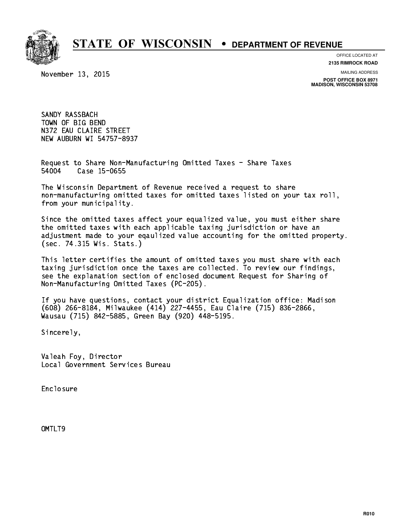

**OFFICE LOCATED AT**

**2135 RIMROCK ROAD**

November 13, 2015

**MAILING ADDRESS**

**POST OFFICE BOX 8971 MADISON, WISCONSIN 53708**

 SANDY RASSBACH TOWN OF BIG BEND N372 EAU CLAIRE STREET NEW AUBURN WI 54757-8937

 Request to Share Non-Manufacturing Omitted Taxes - Share Taxes 54004 Case 15-0655

 The Wisconsin Department of Revenue received a request to share non-manufacturing omitted taxes for omitted taxes listed on your tax roll, from your municipality.

 Since the omitted taxes affect your equalized value, you must either share the omitted taxes with each applicable taxing jurisdiction or have an adjustment made to your eqaulized value accounting for the omitted property. (sec. 74.315 Wis. Stats.)

 This letter certifies the amount of omitted taxes you must share with each taxing jurisdiction once the taxes are collected. To review our findings, see the explanation section of enclosed document Request for Sharing of Non-Manufacturing Omitted Taxes (PC-205).

 If you have questions, contact your district Equalization office: Madison (608) 266-8184, Milwaukee (414) 227-4455, Eau Claire (715) 836-2866, Wausau (715) 842-5885, Green Bay (920) 448-5195.

Sincerely,

 Valeah Foy, Director Local Government Services Bureau

Enclosure Enclosure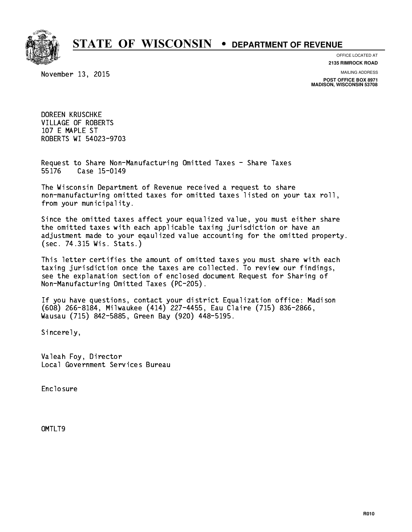

**OFFICE LOCATED AT**

**2135 RIMROCK ROAD**

November 13, 2015

**MAILING ADDRESS**

**POST OFFICE BOX 8971 MADISON, WISCONSIN 53708**

 DOREEN KRUSCHKE VILLAGE OF ROBERTS 107 E MAPLE ST ROBERTS WI 54023-9703

 Request to Share Non-Manufacturing Omitted Taxes - Share Taxes Case 15-0149 55176

 The Wisconsin Department of Revenue received a request to share non-manufacturing omitted taxes for omitted taxes listed on your tax roll, from your municipality.

 Since the omitted taxes affect your equalized value, you must either share the omitted taxes with each applicable taxing jurisdiction or have an adjustment made to your eqaulized value accounting for the omitted property. (sec. 74.315 Wis. Stats.)

 This letter certifies the amount of omitted taxes you must share with each taxing jurisdiction once the taxes are collected. To review our findings, see the explanation section of enclosed document Request for Sharing of Non-Manufacturing Omitted Taxes (PC-205).

 If you have questions, contact your district Equalization office: Madison (608) 266-8184, Milwaukee (414) 227-4455, Eau Claire (715) 836-2866, Wausau (715) 842-5885, Green Bay (920) 448-5195.

Sincerely,

 Valeah Foy, Director Local Government Services Bureau

Enclosure Enclosure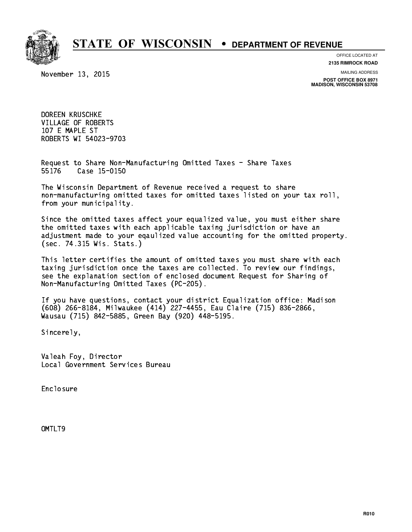

**OFFICE LOCATED AT**

**2135 RIMROCK ROAD**

November 13, 2015

**MAILING ADDRESS**

**POST OFFICE BOX 8971 MADISON, WISCONSIN 53708**

 DOREEN KRUSCHKE VILLAGE OF ROBERTS 107 E MAPLE ST ROBERTS WI 54023-9703

 Request to Share Non-Manufacturing Omitted Taxes - Share Taxes Case 15-0150 55176

 The Wisconsin Department of Revenue received a request to share non-manufacturing omitted taxes for omitted taxes listed on your tax roll, from your municipality.

 Since the omitted taxes affect your equalized value, you must either share the omitted taxes with each applicable taxing jurisdiction or have an adjustment made to your eqaulized value accounting for the omitted property. (sec. 74.315 Wis. Stats.)

 This letter certifies the amount of omitted taxes you must share with each taxing jurisdiction once the taxes are collected. To review our findings, see the explanation section of enclosed document Request for Sharing of Non-Manufacturing Omitted Taxes (PC-205).

 If you have questions, contact your district Equalization office: Madison (608) 266-8184, Milwaukee (414) 227-4455, Eau Claire (715) 836-2866, Wausau (715) 842-5885, Green Bay (920) 448-5195.

Sincerely,

 Valeah Foy, Director Local Government Services Bureau

Enclosure Enclosure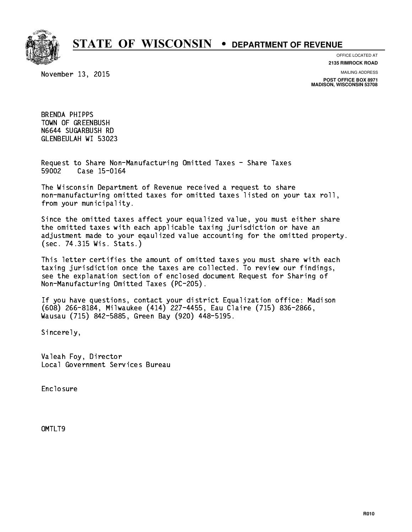

**OFFICE LOCATED AT**

November 13, 2015

**2135 RIMROCK ROAD**

**MAILING ADDRESS**

**POST OFFICE BOX 8971 MADISON, WISCONSIN 53708**

 BRENDA PHIPPS TOWN OF GREENBUSH N6644 SUGARBUSH RD GLENBEULAH WI 53023

 Request to Share Non-Manufacturing Omitted Taxes - Share Taxes Case 15-0164 59002

 The Wisconsin Department of Revenue received a request to share non-manufacturing omitted taxes for omitted taxes listed on your tax roll, from your municipality.

 Since the omitted taxes affect your equalized value, you must either share the omitted taxes with each applicable taxing jurisdiction or have an adjustment made to your eqaulized value accounting for the omitted property. (sec. 74.315 Wis. Stats.)

 This letter certifies the amount of omitted taxes you must share with each taxing jurisdiction once the taxes are collected. To review our findings, see the explanation section of enclosed document Request for Sharing of Non-Manufacturing Omitted Taxes (PC-205).

 If you have questions, contact your district Equalization office: Madison (608) 266-8184, Milwaukee (414) 227-4455, Eau Claire (715) 836-2866, Wausau (715) 842-5885, Green Bay (920) 448-5195.

Sincerely,

 Valeah Foy, Director Local Government Services Bureau

Enclosure Enclosure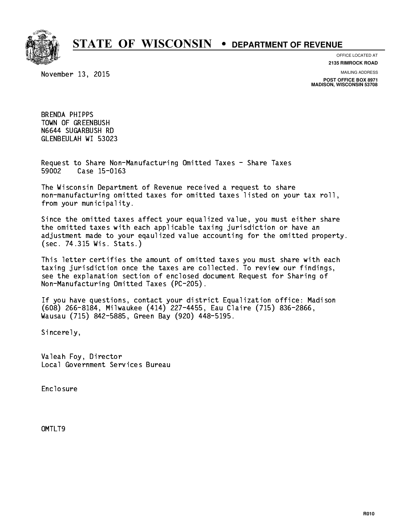

**OFFICE LOCATED AT**

November 13, 2015

**2135 RIMROCK ROAD**

**MAILING ADDRESS**

**POST OFFICE BOX 8971 MADISON, WISCONSIN 53708**

 BRENDA PHIPPS TOWN OF GREENBUSH N6644 SUGARBUSH RD GLENBEULAH WI 53023

 Request to Share Non-Manufacturing Omitted Taxes - Share Taxes 59002 Case 15-0163

 The Wisconsin Department of Revenue received a request to share non-manufacturing omitted taxes for omitted taxes listed on your tax roll, from your municipality.

 Since the omitted taxes affect your equalized value, you must either share the omitted taxes with each applicable taxing jurisdiction or have an adjustment made to your eqaulized value accounting for the omitted property. (sec. 74.315 Wis. Stats.)

 This letter certifies the amount of omitted taxes you must share with each taxing jurisdiction once the taxes are collected. To review our findings, see the explanation section of enclosed document Request for Sharing of Non-Manufacturing Omitted Taxes (PC-205).

 If you have questions, contact your district Equalization office: Madison (608) 266-8184, Milwaukee (414) 227-4455, Eau Claire (715) 836-2866, Wausau (715) 842-5885, Green Bay (920) 448-5195.

Sincerely,

 Valeah Foy, Director Local Government Services Bureau

Enclosure Enclosure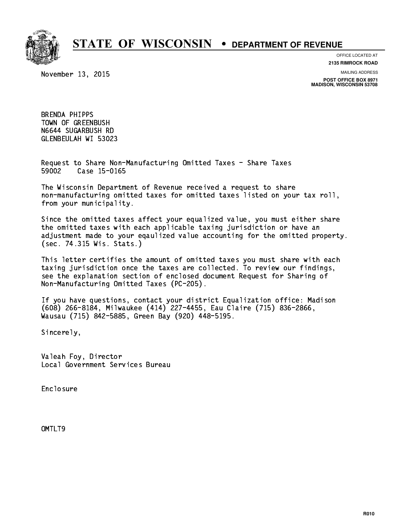

**OFFICE LOCATED AT**

November 13, 2015

**2135 RIMROCK ROAD**

**MAILING ADDRESS**

**POST OFFICE BOX 8971 MADISON, WISCONSIN 53708**

 BRENDA PHIPPS TOWN OF GREENBUSH N6644 SUGARBUSH RD GLENBEULAH WI 53023

 Request to Share Non-Manufacturing Omitted Taxes - Share Taxes 59002 Case 15-0165

 The Wisconsin Department of Revenue received a request to share non-manufacturing omitted taxes for omitted taxes listed on your tax roll, from your municipality.

 Since the omitted taxes affect your equalized value, you must either share the omitted taxes with each applicable taxing jurisdiction or have an adjustment made to your eqaulized value accounting for the omitted property. (sec. 74.315 Wis. Stats.)

 This letter certifies the amount of omitted taxes you must share with each taxing jurisdiction once the taxes are collected. To review our findings, see the explanation section of enclosed document Request for Sharing of Non-Manufacturing Omitted Taxes (PC-205).

 If you have questions, contact your district Equalization office: Madison (608) 266-8184, Milwaukee (414) 227-4455, Eau Claire (715) 836-2866, Wausau (715) 842-5885, Green Bay (920) 448-5195.

Sincerely,

 Valeah Foy, Director Local Government Services Bureau

Enclosure Enclosure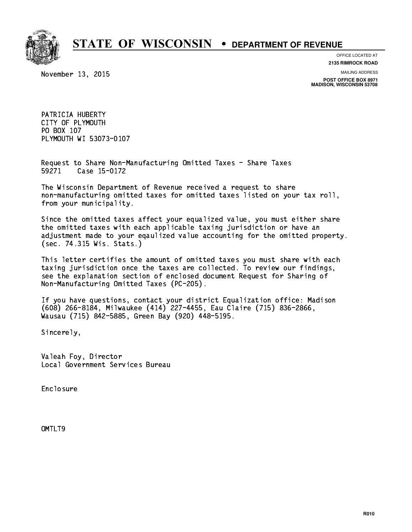

**OFFICE LOCATED AT**

**2135 RIMROCK ROAD**

November 13, 2015

**MAILING ADDRESS**

**POST OFFICE BOX 8971 MADISON, WISCONSIN 53708**

 PATRICIA HUBERTY CITY OF PLYMOUTH PO BOX 107 PO BOX 107 PLYMOUTH WI 53073-0107

 Request to Share Non-Manufacturing Omitted Taxes - Share Taxes 59271 Case 15-0172

 The Wisconsin Department of Revenue received a request to share non-manufacturing omitted taxes for omitted taxes listed on your tax roll, from your municipality.

 Since the omitted taxes affect your equalized value, you must either share the omitted taxes with each applicable taxing jurisdiction or have an adjustment made to your eqaulized value accounting for the omitted property. (sec. 74.315 Wis. Stats.)

 This letter certifies the amount of omitted taxes you must share with each taxing jurisdiction once the taxes are collected. To review our findings, see the explanation section of enclosed document Request for Sharing of Non-Manufacturing Omitted Taxes (PC-205).

 If you have questions, contact your district Equalization office: Madison (608) 266-8184, Milwaukee (414) 227-4455, Eau Claire (715) 836-2866, Wausau (715) 842-5885, Green Bay (920) 448-5195.

Sincerely,

 Valeah Foy, Director Local Government Services Bureau

Enclosure Enclosure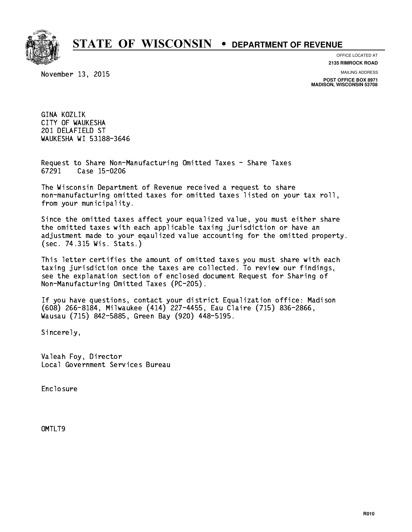

**OFFICE LOCATED AT**

November 13, 2015

**2135 RIMROCK ROAD**

**MAILING ADDRESS**

**POST OFFICE BOX 8971 MADISON, WISCONSIN 53708**

 GINA KOZLIK CITY OF WAUKESHA 201 DELAFIELD ST WAUKESHA WI 53188-3646

 Request to Share Non-Manufacturing Omitted Taxes - Share Taxes Case 15-0206 67291

 The Wisconsin Department of Revenue received a request to share non-manufacturing omitted taxes for omitted taxes listed on your tax roll, from your municipality.

 Since the omitted taxes affect your equalized value, you must either share the omitted taxes with each applicable taxing jurisdiction or have an adjustment made to your eqaulized value accounting for the omitted property. (sec. 74.315 Wis. Stats.)

 This letter certifies the amount of omitted taxes you must share with each taxing jurisdiction once the taxes are collected. To review our findings, see the explanation section of enclosed document Request for Sharing of Non-Manufacturing Omitted Taxes (PC-205).

 If you have questions, contact your district Equalization office: Madison (608) 266-8184, Milwaukee (414) 227-4455, Eau Claire (715) 836-2866, Wausau (715) 842-5885, Green Bay (920) 448-5195.

Sincerely,

 Valeah Foy, Director Local Government Services Bureau

Enclosure Enclosure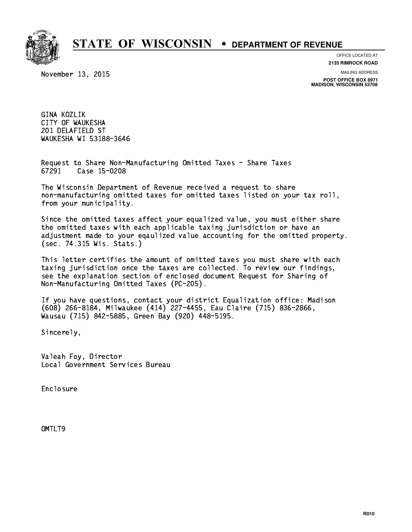

**OFFICE LOCATED AT**

November 13, 2015

**2135 RIMROCK ROAD**

**MAILING ADDRESS**

**POST OFFICE BOX 8971 MADISON, WISCONSIN 53708**

 GINA KOZLIK CITY OF WAUKESHA 201 DELAFIELD ST WAUKESHA WI 53188-3646

 Request to Share Non-Manufacturing Omitted Taxes - Share Taxes Case 15-0208 67291

 The Wisconsin Department of Revenue received a request to share non-manufacturing omitted taxes for omitted taxes listed on your tax roll, from your municipality.

 Since the omitted taxes affect your equalized value, you must either share the omitted taxes with each applicable taxing jurisdiction or have an adjustment made to your eqaulized value accounting for the omitted property. (sec. 74.315 Wis. Stats.)

 This letter certifies the amount of omitted taxes you must share with each taxing jurisdiction once the taxes are collected. To review our findings, see the explanation section of enclosed document Request for Sharing of Non-Manufacturing Omitted Taxes (PC-205).

 If you have questions, contact your district Equalization office: Madison (608) 266-8184, Milwaukee (414) 227-4455, Eau Claire (715) 836-2866, Wausau (715) 842-5885, Green Bay (920) 448-5195.

Sincerely,

 Valeah Foy, Director Local Government Services Bureau

Enclosure Enclosure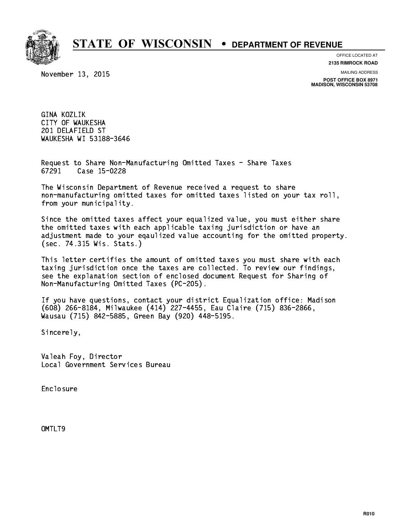

**OFFICE LOCATED AT**

November 13, 2015

**2135 RIMROCK ROAD**

**MAILING ADDRESS**

**POST OFFICE BOX 8971 MADISON, WISCONSIN 53708**

 GINA KOZLIK CITY OF WAUKESHA 201 DELAFIELD ST WAUKESHA WI 53188-3646

 Request to Share Non-Manufacturing Omitted Taxes - Share Taxes Case 15-0228 67291

 The Wisconsin Department of Revenue received a request to share non-manufacturing omitted taxes for omitted taxes listed on your tax roll, from your municipality.

 Since the omitted taxes affect your equalized value, you must either share the omitted taxes with each applicable taxing jurisdiction or have an adjustment made to your eqaulized value accounting for the omitted property. (sec. 74.315 Wis. Stats.)

 This letter certifies the amount of omitted taxes you must share with each taxing jurisdiction once the taxes are collected. To review our findings, see the explanation section of enclosed document Request for Sharing of Non-Manufacturing Omitted Taxes (PC-205).

 If you have questions, contact your district Equalization office: Madison (608) 266-8184, Milwaukee (414) 227-4455, Eau Claire (715) 836-2866, Wausau (715) 842-5885, Green Bay (920) 448-5195.

Sincerely,

 Valeah Foy, Director Local Government Services Bureau

Enclosure Enclosure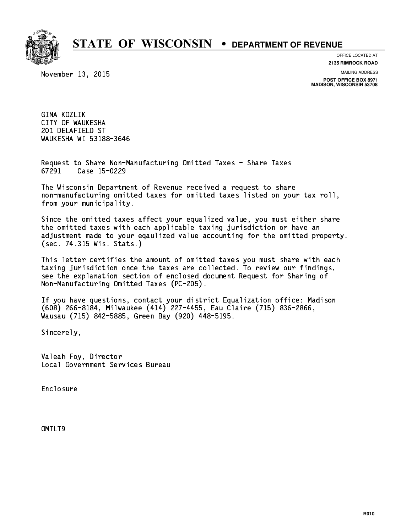

**OFFICE LOCATED AT**

November 13, 2015

**2135 RIMROCK ROAD**

**MAILING ADDRESS**

**POST OFFICE BOX 8971 MADISON, WISCONSIN 53708**

 GINA KOZLIK CITY OF WAUKESHA 201 DELAFIELD ST WAUKESHA WI 53188-3646

 Request to Share Non-Manufacturing Omitted Taxes - Share Taxes Case 15-0229 67291

 The Wisconsin Department of Revenue received a request to share non-manufacturing omitted taxes for omitted taxes listed on your tax roll, from your municipality.

 Since the omitted taxes affect your equalized value, you must either share the omitted taxes with each applicable taxing jurisdiction or have an adjustment made to your eqaulized value accounting for the omitted property. (sec. 74.315 Wis. Stats.)

 This letter certifies the amount of omitted taxes you must share with each taxing jurisdiction once the taxes are collected. To review our findings, see the explanation section of enclosed document Request for Sharing of Non-Manufacturing Omitted Taxes (PC-205).

 If you have questions, contact your district Equalization office: Madison (608) 266-8184, Milwaukee (414) 227-4455, Eau Claire (715) 836-2866, Wausau (715) 842-5885, Green Bay (920) 448-5195.

Sincerely,

 Valeah Foy, Director Local Government Services Bureau

Enclosure Enclosure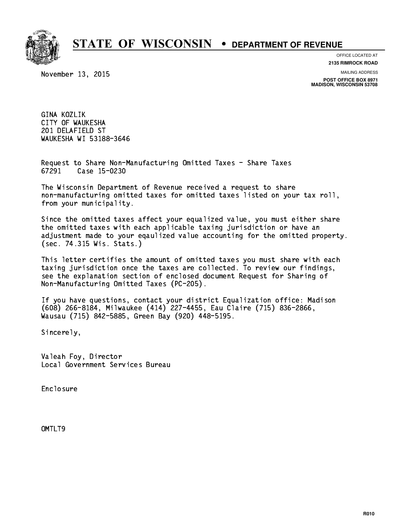

**OFFICE LOCATED AT**

November 13, 2015

**2135 RIMROCK ROAD**

**MAILING ADDRESS**

**POST OFFICE BOX 8971 MADISON, WISCONSIN 53708**

 GINA KOZLIK CITY OF WAUKESHA 201 DELAFIELD ST WAUKESHA WI 53188-3646

 Request to Share Non-Manufacturing Omitted Taxes - Share Taxes Case 15-0230 67291

 The Wisconsin Department of Revenue received a request to share non-manufacturing omitted taxes for omitted taxes listed on your tax roll, from your municipality.

 Since the omitted taxes affect your equalized value, you must either share the omitted taxes with each applicable taxing jurisdiction or have an adjustment made to your eqaulized value accounting for the omitted property. (sec. 74.315 Wis. Stats.)

 This letter certifies the amount of omitted taxes you must share with each taxing jurisdiction once the taxes are collected. To review our findings, see the explanation section of enclosed document Request for Sharing of Non-Manufacturing Omitted Taxes (PC-205).

 If you have questions, contact your district Equalization office: Madison (608) 266-8184, Milwaukee (414) 227-4455, Eau Claire (715) 836-2866, Wausau (715) 842-5885, Green Bay (920) 448-5195.

Sincerely,

 Valeah Foy, Director Local Government Services Bureau

Enclosure Enclosure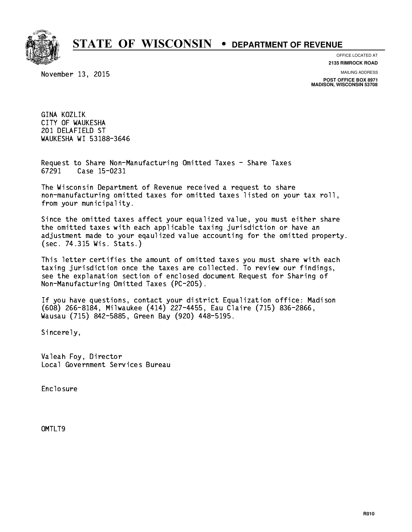

**OFFICE LOCATED AT**

November 13, 2015

**2135 RIMROCK ROAD**

**MAILING ADDRESS**

**POST OFFICE BOX 8971 MADISON, WISCONSIN 53708**

 GINA KOZLIK CITY OF WAUKESHA 201 DELAFIELD ST WAUKESHA WI 53188-3646

 Request to Share Non-Manufacturing Omitted Taxes - Share Taxes Case 15-0231 67291

 The Wisconsin Department of Revenue received a request to share non-manufacturing omitted taxes for omitted taxes listed on your tax roll, from your municipality.

 Since the omitted taxes affect your equalized value, you must either share the omitted taxes with each applicable taxing jurisdiction or have an adjustment made to your eqaulized value accounting for the omitted property. (sec. 74.315 Wis. Stats.)

 This letter certifies the amount of omitted taxes you must share with each taxing jurisdiction once the taxes are collected. To review our findings, see the explanation section of enclosed document Request for Sharing of Non-Manufacturing Omitted Taxes (PC-205).

 If you have questions, contact your district Equalization office: Madison (608) 266-8184, Milwaukee (414) 227-4455, Eau Claire (715) 836-2866, Wausau (715) 842-5885, Green Bay (920) 448-5195.

Sincerely,

 Valeah Foy, Director Local Government Services Bureau

Enclosure Enclosure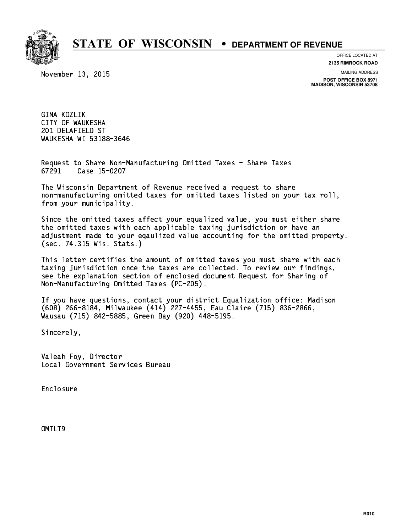

**OFFICE LOCATED AT**

November 13, 2015

**2135 RIMROCK ROAD**

**MAILING ADDRESS**

**POST OFFICE BOX 8971 MADISON, WISCONSIN 53708**

 GINA KOZLIK CITY OF WAUKESHA 201 DELAFIELD ST WAUKESHA WI 53188-3646

 Request to Share Non-Manufacturing Omitted Taxes - Share Taxes Case 15-0207 67291

 The Wisconsin Department of Revenue received a request to share non-manufacturing omitted taxes for omitted taxes listed on your tax roll, from your municipality.

 Since the omitted taxes affect your equalized value, you must either share the omitted taxes with each applicable taxing jurisdiction or have an adjustment made to your eqaulized value accounting for the omitted property. (sec. 74.315 Wis. Stats.)

 This letter certifies the amount of omitted taxes you must share with each taxing jurisdiction once the taxes are collected. To review our findings, see the explanation section of enclosed document Request for Sharing of Non-Manufacturing Omitted Taxes (PC-205).

 If you have questions, contact your district Equalization office: Madison (608) 266-8184, Milwaukee (414) 227-4455, Eau Claire (715) 836-2866, Wausau (715) 842-5885, Green Bay (920) 448-5195.

Sincerely,

 Valeah Foy, Director Local Government Services Bureau

Enclosure Enclosure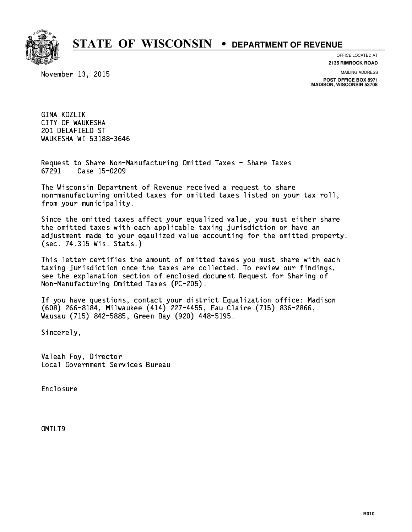

**OFFICE LOCATED AT**

November 13, 2015

**2135 RIMROCK ROAD**

**MAILING ADDRESS**

**POST OFFICE BOX 8971 MADISON, WISCONSIN 53708**

 GINA KOZLIK CITY OF WAUKESHA 201 DELAFIELD ST WAUKESHA WI 53188-3646

 Request to Share Non-Manufacturing Omitted Taxes - Share Taxes Case 15-0209 67291

 The Wisconsin Department of Revenue received a request to share non-manufacturing omitted taxes for omitted taxes listed on your tax roll, from your municipality.

 Since the omitted taxes affect your equalized value, you must either share the omitted taxes with each applicable taxing jurisdiction or have an adjustment made to your eqaulized value accounting for the omitted property. (sec. 74.315 Wis. Stats.)

 This letter certifies the amount of omitted taxes you must share with each taxing jurisdiction once the taxes are collected. To review our findings, see the explanation section of enclosed document Request for Sharing of Non-Manufacturing Omitted Taxes (PC-205).

 If you have questions, contact your district Equalization office: Madison (608) 266-8184, Milwaukee (414) 227-4455, Eau Claire (715) 836-2866, Wausau (715) 842-5885, Green Bay (920) 448-5195.

Sincerely,

 Valeah Foy, Director Local Government Services Bureau

Enclosure Enclosure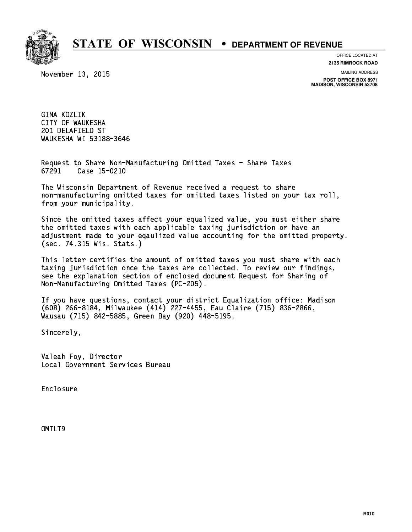

**OFFICE LOCATED AT**

November 13, 2015

**2135 RIMROCK ROAD**

**MAILING ADDRESS**

**POST OFFICE BOX 8971 MADISON, WISCONSIN 53708**

 GINA KOZLIK CITY OF WAUKESHA 201 DELAFIELD ST WAUKESHA WI 53188-3646

 Request to Share Non-Manufacturing Omitted Taxes - Share Taxes Case 15-0210 67291

 The Wisconsin Department of Revenue received a request to share non-manufacturing omitted taxes for omitted taxes listed on your tax roll, from your municipality.

 Since the omitted taxes affect your equalized value, you must either share the omitted taxes with each applicable taxing jurisdiction or have an adjustment made to your eqaulized value accounting for the omitted property. (sec. 74.315 Wis. Stats.)

 This letter certifies the amount of omitted taxes you must share with each taxing jurisdiction once the taxes are collected. To review our findings, see the explanation section of enclosed document Request for Sharing of Non-Manufacturing Omitted Taxes (PC-205).

 If you have questions, contact your district Equalization office: Madison (608) 266-8184, Milwaukee (414) 227-4455, Eau Claire (715) 836-2866, Wausau (715) 842-5885, Green Bay (920) 448-5195.

Sincerely,

 Valeah Foy, Director Local Government Services Bureau

Enclosure Enclosure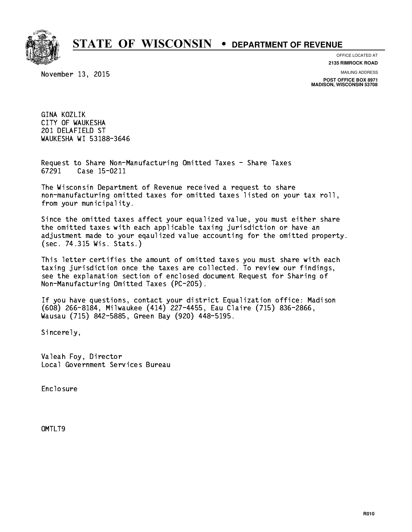

**OFFICE LOCATED AT**

November 13, 2015

**2135 RIMROCK ROAD**

**MAILING ADDRESS**

**POST OFFICE BOX 8971 MADISON, WISCONSIN 53708**

 GINA KOZLIK CITY OF WAUKESHA 201 DELAFIELD ST WAUKESHA WI 53188-3646

 Request to Share Non-Manufacturing Omitted Taxes - Share Taxes 67291 Case 15-0211

 The Wisconsin Department of Revenue received a request to share non-manufacturing omitted taxes for omitted taxes listed on your tax roll, from your municipality.

 Since the omitted taxes affect your equalized value, you must either share the omitted taxes with each applicable taxing jurisdiction or have an adjustment made to your eqaulized value accounting for the omitted property. (sec. 74.315 Wis. Stats.)

 This letter certifies the amount of omitted taxes you must share with each taxing jurisdiction once the taxes are collected. To review our findings, see the explanation section of enclosed document Request for Sharing of Non-Manufacturing Omitted Taxes (PC-205).

 If you have questions, contact your district Equalization office: Madison (608) 266-8184, Milwaukee (414) 227-4455, Eau Claire (715) 836-2866, Wausau (715) 842-5885, Green Bay (920) 448-5195.

Sincerely,

 Valeah Foy, Director Local Government Services Bureau

Enclosure Enclosure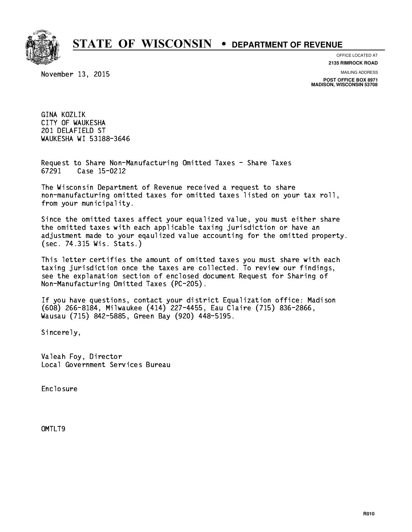

**OFFICE LOCATED AT**

November 13, 2015

**2135 RIMROCK ROAD**

**MAILING ADDRESS**

**POST OFFICE BOX 8971 MADISON, WISCONSIN 53708**

 GINA KOZLIK CITY OF WAUKESHA 201 DELAFIELD ST WAUKESHA WI 53188-3646

 Request to Share Non-Manufacturing Omitted Taxes - Share Taxes Case 15-0212 67291

 The Wisconsin Department of Revenue received a request to share non-manufacturing omitted taxes for omitted taxes listed on your tax roll, from your municipality.

 Since the omitted taxes affect your equalized value, you must either share the omitted taxes with each applicable taxing jurisdiction or have an adjustment made to your eqaulized value accounting for the omitted property. (sec. 74.315 Wis. Stats.)

 This letter certifies the amount of omitted taxes you must share with each taxing jurisdiction once the taxes are collected. To review our findings, see the explanation section of enclosed document Request for Sharing of Non-Manufacturing Omitted Taxes (PC-205).

 If you have questions, contact your district Equalization office: Madison (608) 266-8184, Milwaukee (414) 227-4455, Eau Claire (715) 836-2866, Wausau (715) 842-5885, Green Bay (920) 448-5195.

Sincerely,

 Valeah Foy, Director Local Government Services Bureau

Enclosure Enclosure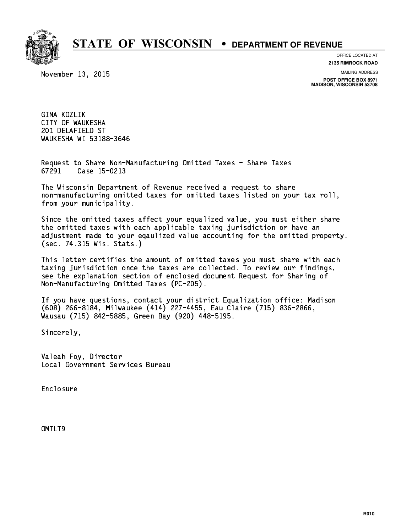

**OFFICE LOCATED AT**

November 13, 2015

**2135 RIMROCK ROAD**

**MAILING ADDRESS**

**POST OFFICE BOX 8971 MADISON, WISCONSIN 53708**

 GINA KOZLIK CITY OF WAUKESHA 201 DELAFIELD ST WAUKESHA WI 53188-3646

 Request to Share Non-Manufacturing Omitted Taxes - Share Taxes Case 15-0213 67291

 The Wisconsin Department of Revenue received a request to share non-manufacturing omitted taxes for omitted taxes listed on your tax roll, from your municipality.

 Since the omitted taxes affect your equalized value, you must either share the omitted taxes with each applicable taxing jurisdiction or have an adjustment made to your eqaulized value accounting for the omitted property. (sec. 74.315 Wis. Stats.)

 This letter certifies the amount of omitted taxes you must share with each taxing jurisdiction once the taxes are collected. To review our findings, see the explanation section of enclosed document Request for Sharing of Non-Manufacturing Omitted Taxes (PC-205).

 If you have questions, contact your district Equalization office: Madison (608) 266-8184, Milwaukee (414) 227-4455, Eau Claire (715) 836-2866, Wausau (715) 842-5885, Green Bay (920) 448-5195.

Sincerely,

 Valeah Foy, Director Local Government Services Bureau

Enclosure Enclosure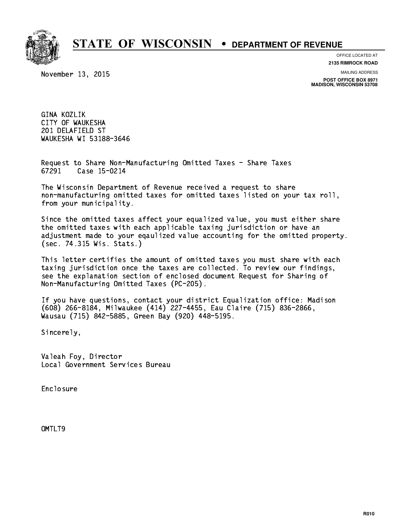

**OFFICE LOCATED AT**

November 13, 2015

**2135 RIMROCK ROAD**

**MAILING ADDRESS**

**POST OFFICE BOX 8971 MADISON, WISCONSIN 53708**

 GINA KOZLIK CITY OF WAUKESHA 201 DELAFIELD ST WAUKESHA WI 53188-3646

 Request to Share Non-Manufacturing Omitted Taxes - Share Taxes Case 15-0214 67291

 The Wisconsin Department of Revenue received a request to share non-manufacturing omitted taxes for omitted taxes listed on your tax roll, from your municipality.

 Since the omitted taxes affect your equalized value, you must either share the omitted taxes with each applicable taxing jurisdiction or have an adjustment made to your eqaulized value accounting for the omitted property. (sec. 74.315 Wis. Stats.)

 This letter certifies the amount of omitted taxes you must share with each taxing jurisdiction once the taxes are collected. To review our findings, see the explanation section of enclosed document Request for Sharing of Non-Manufacturing Omitted Taxes (PC-205).

 If you have questions, contact your district Equalization office: Madison (608) 266-8184, Milwaukee (414) 227-4455, Eau Claire (715) 836-2866, Wausau (715) 842-5885, Green Bay (920) 448-5195.

Sincerely,

 Valeah Foy, Director Local Government Services Bureau

Enclosure Enclosure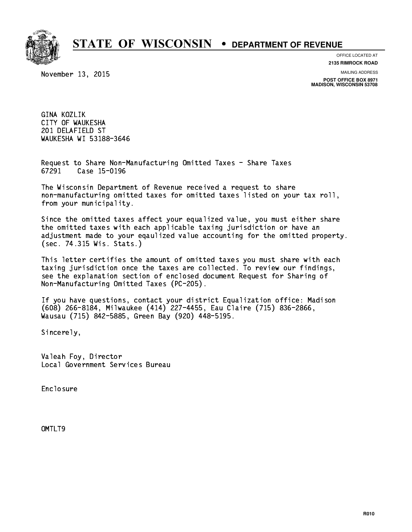

**OFFICE LOCATED AT**

November 13, 2015

**2135 RIMROCK ROAD**

**MAILING ADDRESS**

**POST OFFICE BOX 8971 MADISON, WISCONSIN 53708**

 GINA KOZLIK CITY OF WAUKESHA 201 DELAFIELD ST WAUKESHA WI 53188-3646

 Request to Share Non-Manufacturing Omitted Taxes - Share Taxes Case 15-0196 67291

 The Wisconsin Department of Revenue received a request to share non-manufacturing omitted taxes for omitted taxes listed on your tax roll, from your municipality.

 Since the omitted taxes affect your equalized value, you must either share the omitted taxes with each applicable taxing jurisdiction or have an adjustment made to your eqaulized value accounting for the omitted property. (sec. 74.315 Wis. Stats.)

 This letter certifies the amount of omitted taxes you must share with each taxing jurisdiction once the taxes are collected. To review our findings, see the explanation section of enclosed document Request for Sharing of Non-Manufacturing Omitted Taxes (PC-205).

 If you have questions, contact your district Equalization office: Madison (608) 266-8184, Milwaukee (414) 227-4455, Eau Claire (715) 836-2866, Wausau (715) 842-5885, Green Bay (920) 448-5195.

Sincerely,

 Valeah Foy, Director Local Government Services Bureau

Enclosure Enclosure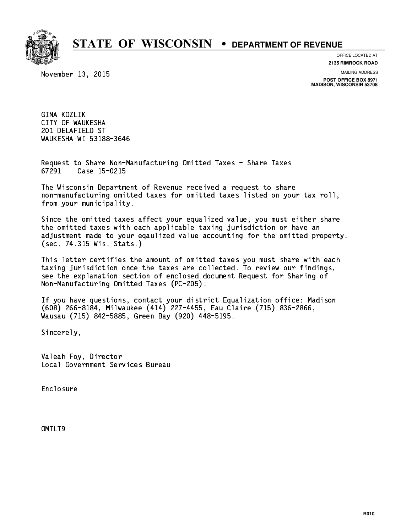

**OFFICE LOCATED AT**

November 13, 2015

**2135 RIMROCK ROAD**

**MAILING ADDRESS**

**POST OFFICE BOX 8971 MADISON, WISCONSIN 53708**

 GINA KOZLIK CITY OF WAUKESHA 201 DELAFIELD ST WAUKESHA WI 53188-3646

 Request to Share Non-Manufacturing Omitted Taxes - Share Taxes Case 15-0215 67291

 The Wisconsin Department of Revenue received a request to share non-manufacturing omitted taxes for omitted taxes listed on your tax roll, from your municipality.

 Since the omitted taxes affect your equalized value, you must either share the omitted taxes with each applicable taxing jurisdiction or have an adjustment made to your eqaulized value accounting for the omitted property. (sec. 74.315 Wis. Stats.)

 This letter certifies the amount of omitted taxes you must share with each taxing jurisdiction once the taxes are collected. To review our findings, see the explanation section of enclosed document Request for Sharing of Non-Manufacturing Omitted Taxes (PC-205).

 If you have questions, contact your district Equalization office: Madison (608) 266-8184, Milwaukee (414) 227-4455, Eau Claire (715) 836-2866, Wausau (715) 842-5885, Green Bay (920) 448-5195.

Sincerely,

 Valeah Foy, Director Local Government Services Bureau

Enclosure Enclosure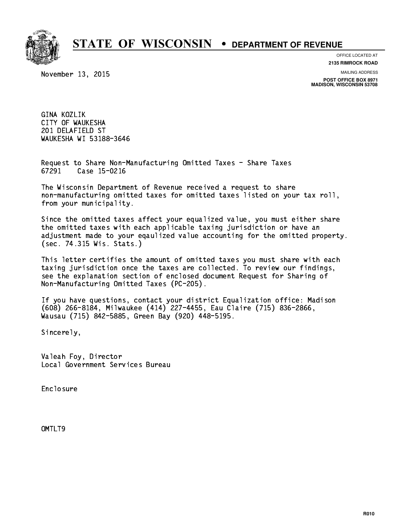

**OFFICE LOCATED AT**

November 13, 2015

**2135 RIMROCK ROAD**

**MAILING ADDRESS**

**POST OFFICE BOX 8971 MADISON, WISCONSIN 53708**

 GINA KOZLIK CITY OF WAUKESHA 201 DELAFIELD ST WAUKESHA WI 53188-3646

 Request to Share Non-Manufacturing Omitted Taxes - Share Taxes 67291 Case 15-0216

 The Wisconsin Department of Revenue received a request to share non-manufacturing omitted taxes for omitted taxes listed on your tax roll, from your municipality.

 Since the omitted taxes affect your equalized value, you must either share the omitted taxes with each applicable taxing jurisdiction or have an adjustment made to your eqaulized value accounting for the omitted property. (sec. 74.315 Wis. Stats.)

 This letter certifies the amount of omitted taxes you must share with each taxing jurisdiction once the taxes are collected. To review our findings, see the explanation section of enclosed document Request for Sharing of Non-Manufacturing Omitted Taxes (PC-205).

 If you have questions, contact your district Equalization office: Madison (608) 266-8184, Milwaukee (414) 227-4455, Eau Claire (715) 836-2866, Wausau (715) 842-5885, Green Bay (920) 448-5195.

Sincerely,

 Valeah Foy, Director Local Government Services Bureau

Enclosure Enclosure